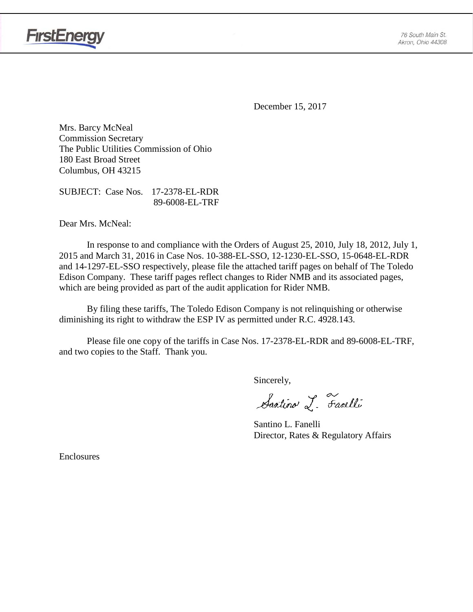

December 15, 2017

Mrs. Barcy McNeal Commission Secretary The Public Utilities Commission of Ohio 180 East Broad Street Columbus, OH 43215

SUBJECT: Case Nos. 17-2378-EL-RDR 89-6008-EL-TRF

Dear Mrs. McNeal:

**FirstEnergy** 

In response to and compliance with the Orders of August 25, 2010, July 18, 2012, July 1, 2015 and March 31, 2016 in Case Nos. 10-388-EL-SSO, 12-1230-EL-SSO, 15-0648-EL-RDR and 14-1297-EL-SSO respectively, please file the attached tariff pages on behalf of The Toledo Edison Company. These tariff pages reflect changes to Rider NMB and its associated pages, which are being provided as part of the audit application for Rider NMB.

By filing these tariffs, The Toledo Edison Company is not relinquishing or otherwise diminishing its right to withdraw the ESP IV as permitted under R.C. 4928.143.

Please file one copy of the tariffs in Case Nos. 17-2378-EL-RDR and 89-6008-EL-TRF, and two copies to the Staff. Thank you.

Sincerely,

Santino L. Fanelli

Santino L. Fanelli Director, Rates & Regulatory Affairs

Enclosures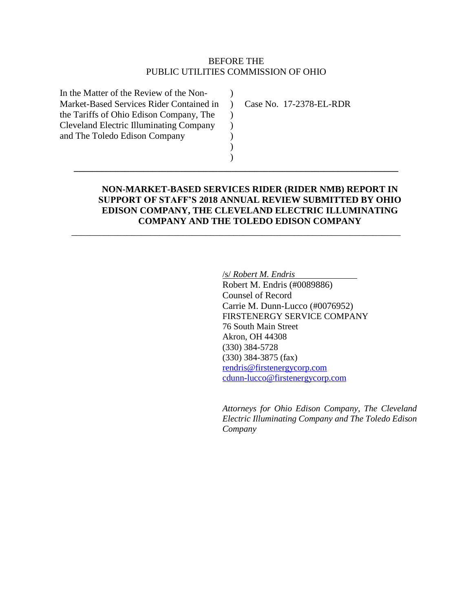## BEFORE THE PUBLIC UTILITIES COMMISSION OF OHIO

 $\lambda$  $\rightarrow$  $\mathcal{L}$  $\mathcal{L}$ ) ) )

**\_\_\_\_\_\_\_\_\_\_\_\_\_\_\_\_\_\_\_\_\_\_\_\_\_\_\_\_\_\_\_\_\_\_\_\_\_\_\_\_\_\_\_\_\_\_\_\_\_\_\_\_\_\_\_\_\_\_\_\_\_\_\_\_\_\_\_\_\_\_**

\_\_\_\_\_\_\_\_\_\_\_\_\_\_\_\_\_\_\_\_\_\_\_\_\_\_\_\_\_\_\_\_\_\_\_\_\_\_\_\_\_\_\_\_\_\_\_\_\_\_\_\_\_\_\_\_\_\_\_\_\_\_\_\_\_\_\_\_\_\_\_

In the Matter of the Review of the Non-Market-Based Services Rider Contained in the Tariffs of Ohio Edison Company, The Cleveland Electric Illuminating Company and The Toledo Edison Company

Case No. 17-2378-EL-RDR

## **NON-MARKET-BASED SERVICES RIDER (RIDER NMB) REPORT IN SUPPORT OF STAFF'S 2018 ANNUAL REVIEW SUBMITTED BY OHIO EDISON COMPANY, THE CLEVELAND ELECTRIC ILLUMINATING COMPANY AND THE TOLEDO EDISON COMPANY**

/s/ *Robert M. Endris* 

Robert M. Endris (#0089886) Counsel of Record Carrie M. Dunn-Lucco (#0076952) FIRSTENERGY SERVICE COMPANY 76 South Main Street Akron, OH 44308 (330) 384-5728 (330) 384-3875 (fax) [rendris@firstenergycorp.com](mailto:rendris@firstenergycorp.com) [cdunn-lucco@firstenergycorp.com](mailto:cdunn-lucco@firstenergycorp.com)

*Attorneys for Ohio Edison Company, The Cleveland Electric Illuminating Company and The Toledo Edison Company*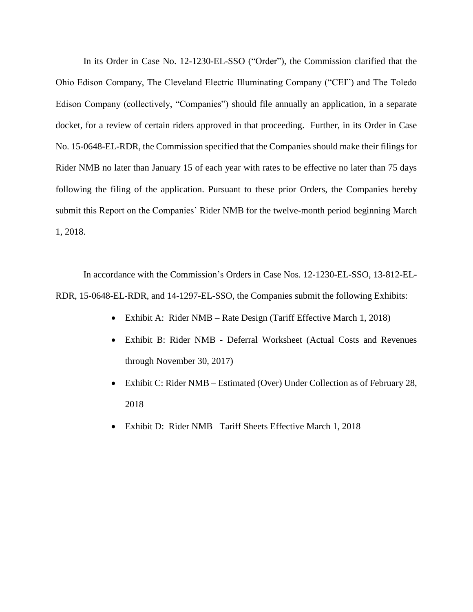In its Order in Case No. 12-1230-EL-SSO ("Order"), the Commission clarified that the Ohio Edison Company, The Cleveland Electric Illuminating Company ("CEI") and The Toledo Edison Company (collectively, "Companies") should file annually an application, in a separate docket, for a review of certain riders approved in that proceeding. Further, in its Order in Case No. 15-0648-EL-RDR, the Commission specified that the Companies should make their filings for Rider NMB no later than January 15 of each year with rates to be effective no later than 75 days following the filing of the application. Pursuant to these prior Orders, the Companies hereby submit this Report on the Companies' Rider NMB for the twelve-month period beginning March 1, 2018.

In accordance with the Commission's Orders in Case Nos. 12-1230-EL-SSO, 13-812-EL-RDR, 15-0648-EL-RDR, and 14-1297-EL-SSO, the Companies submit the following Exhibits:

- Exhibit A: Rider NMB Rate Design (Tariff Effective March 1, 2018)
- Exhibit B: Rider NMB Deferral Worksheet (Actual Costs and Revenues through November 30, 2017)
- Exhibit C: Rider NMB Estimated (Over) Under Collection as of February 28, 2018
- Exhibit D: Rider NMB –Tariff Sheets Effective March 1, 2018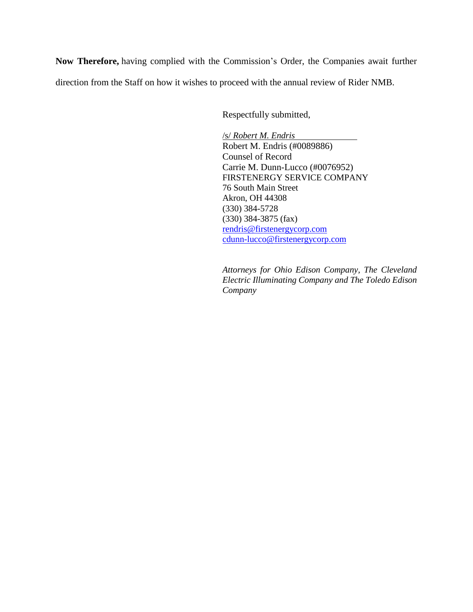**Now Therefore,** having complied with the Commission's Order, the Companies await further direction from the Staff on how it wishes to proceed with the annual review of Rider NMB.

Respectfully submitted,

/s/ *Robert M. Endris*  Robert M. Endris (#0089886) Counsel of Record Carrie M. Dunn-Lucco (#0076952) FIRSTENERGY SERVICE COMPANY 76 South Main Street Akron, OH 44308 (330) 384-5728 (330) 384-3875 (fax) [rendris@firstenergycorp.com](mailto:rendris@firstenergycorp.com) [cdunn-lucco@firstenergycorp.com](mailto:cdunn-lucco@firstenergycorp.com)

*Attorneys for Ohio Edison Company, The Cleveland Electric Illuminating Company and The Toledo Edison Company*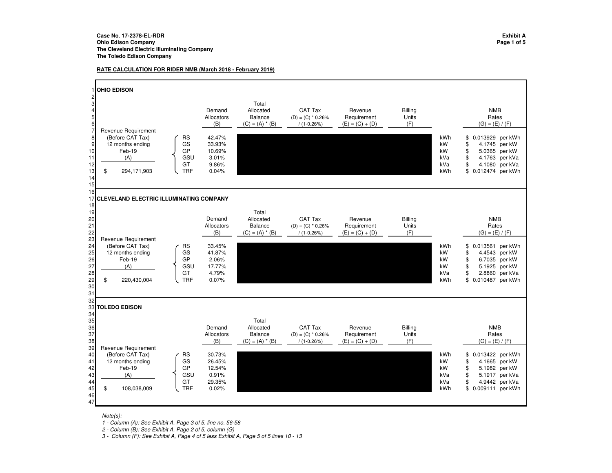#### **RATE CALCULATION FOR RIDER NMB (March 2018 - February 2019)**



Note(s):

1 - Column (A): See Exhibit A, Page 3 of 5, line no. 56-58

2 - Column (B): See Exhibit A, Page 2 of 5, column (G)

3 - Column (F): See Exhibit A, Page 4 of 5 less Exhibit A, Page 5 of 5 lines 10 - 13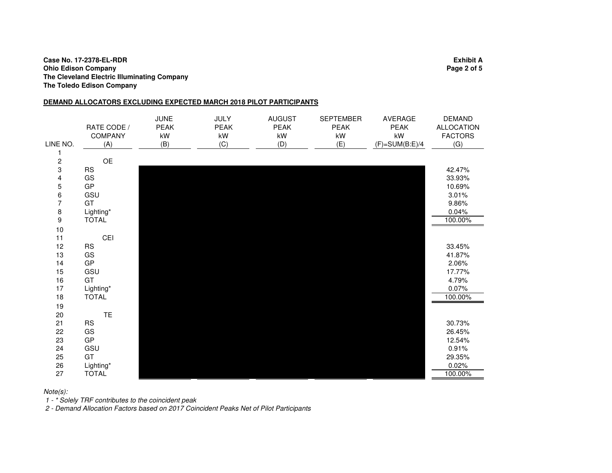#### **Case No. 17-2378-EL-RDR Exhibit A Ohio Edison Company Page 2 of 5 The Cleveland Electric Illuminating CompanyThe Toledo Edison Company**

### **DEMAND ALLOCATORS EXCLUDING EXPECTED MARCH 2018 PILOT PARTICIPANTS**

| LINE NO.                              | RATE CODE /<br>COMPANY<br>(A) | <b>JUNE</b><br><b>PEAK</b><br>kW<br>(B) | <b>JULY</b><br><b>PEAK</b><br>kW<br>(C) | <b>AUGUST</b><br><b>PEAK</b><br>kW<br>(D) | <b>SEPTEMBER</b><br><b>PEAK</b><br>kW<br>(E) | <b>AVERAGE</b><br><b>PEAK</b><br>kW<br>$(F)=SUM(B:E)/4$ | <b>DEMAND</b><br><b>ALLOCATION</b><br><b>FACTORS</b><br>(G) |
|---------------------------------------|-------------------------------|-----------------------------------------|-----------------------------------------|-------------------------------------------|----------------------------------------------|---------------------------------------------------------|-------------------------------------------------------------|
| 1                                     |                               |                                         |                                         |                                           |                                              |                                                         |                                                             |
| $\frac{2}{3}$                         | OE                            |                                         |                                         |                                           |                                              |                                                         |                                                             |
|                                       | <b>RS</b>                     |                                         |                                         |                                           |                                              |                                                         | 42.47%                                                      |
| 4                                     | GS                            |                                         |                                         |                                           |                                              |                                                         | 33.93%                                                      |
| $\mathbf 5$                           | GP                            |                                         |                                         |                                           |                                              |                                                         | 10.69%                                                      |
| $\begin{array}{c} 6 \\ 7 \end{array}$ | GSU                           |                                         |                                         |                                           |                                              |                                                         | 3.01%                                                       |
|                                       | GT                            |                                         |                                         |                                           |                                              |                                                         | 9.86%                                                       |
| $\begin{array}{c} 8 \\ 9 \end{array}$ | Lighting*                     |                                         |                                         |                                           |                                              |                                                         | 0.04%                                                       |
|                                       | <b>TOTAL</b>                  |                                         |                                         |                                           |                                              |                                                         | 100.00%                                                     |
| 10                                    |                               |                                         |                                         |                                           |                                              |                                                         |                                                             |
| 11                                    | CEI                           |                                         |                                         |                                           |                                              |                                                         |                                                             |
| 12                                    | <b>RS</b>                     |                                         |                                         |                                           |                                              |                                                         | 33.45%                                                      |
| 13                                    | GS                            |                                         |                                         |                                           |                                              |                                                         | 41.87%                                                      |
| 14                                    | GP                            |                                         |                                         |                                           |                                              |                                                         | 2.06%                                                       |
| 15                                    | GSU                           |                                         |                                         |                                           |                                              |                                                         | 17.77%                                                      |
| 16                                    | GT                            |                                         |                                         |                                           |                                              |                                                         | 4.79%                                                       |
| 17                                    | Lighting*                     |                                         |                                         |                                           |                                              |                                                         | 0.07%                                                       |
| 18                                    | <b>TOTAL</b>                  |                                         |                                         |                                           |                                              |                                                         | 100.00%                                                     |
| 19                                    |                               |                                         |                                         |                                           |                                              |                                                         |                                                             |
| 20                                    | TE                            |                                         |                                         |                                           |                                              |                                                         |                                                             |
| 21                                    | <b>RS</b>                     |                                         |                                         |                                           |                                              |                                                         | 30.73%                                                      |
| 22                                    | GS                            |                                         |                                         |                                           |                                              |                                                         | 26.45%                                                      |
| 23                                    | GP                            |                                         |                                         |                                           |                                              |                                                         | 12.54%                                                      |
| 24                                    | GSU                           |                                         |                                         |                                           |                                              |                                                         | 0.91%                                                       |
| 25                                    | GT                            |                                         |                                         |                                           |                                              |                                                         | 29.35%                                                      |
| 26                                    | Lighting*                     |                                         |                                         |                                           |                                              |                                                         | 0.02%                                                       |
| 27                                    | <b>TOTAL</b>                  |                                         |                                         |                                           |                                              |                                                         | 100.00%                                                     |

Note(s):

1 - \* Solely TRF contributes to the coincident peak

2 - Demand Allocation Factors based on 2017 Coincident Peaks Net of Pilot Participants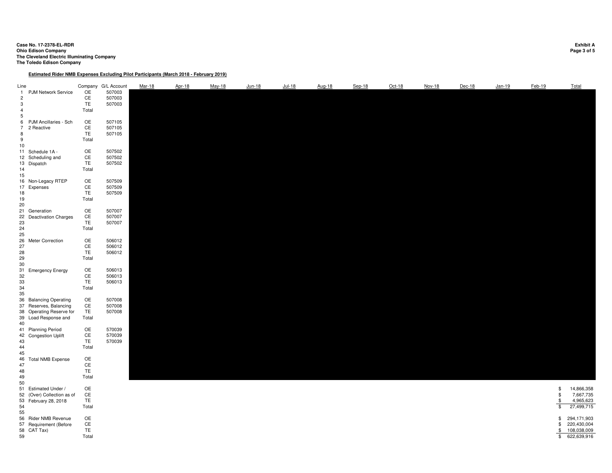### **Case No. 17-2378-EL-RDR Exhibit A Ohio Edison Company Page 3 of 5 The Cleveland Electric Illuminating Company The Toledo Edison Company**

#### **Estimated Rider NMB Expenses Excluding Pilot Participants (March 2018 - February 2019)**

| Line<br>$\mathbf{1}$<br>$\overline{2}$<br>3<br>$\overline{4}$<br>5 | <b>PJM Network Service</b>                                                                           | OE<br>CE<br>TE<br>Total               | Company G/L Account<br>507003<br>507003<br>507003 | Mar-18 | Apr-18 | May-18 | Jun-18 | $Jul-18$ | Aug-18 | Sep-18 | $Oct-18$ | Nov-18 | Dec-18 | Jan-19 | Feb-19                          | Total                                                    |
|--------------------------------------------------------------------|------------------------------------------------------------------------------------------------------|---------------------------------------|---------------------------------------------------|--------|--------|--------|--------|----------|--------|--------|----------|--------|--------|--------|---------------------------------|----------------------------------------------------------|
| 6<br>$7\overline{ }$<br>8<br>9<br>10 <sub>1</sub>                  | PJM Ancillaries - Sch<br>2 Reactive                                                                  | <b>OE</b><br>CE<br><b>TE</b><br>Total | 507105<br>507105<br>507105                        |        |        |        |        |          |        |        |          |        |        |        |                                 |                                                          |
| 14<br>15                                                           | 11 Schedule 1A -<br>12 Scheduling and<br>13 Dispatch                                                 | OE<br>CE<br>TE<br>Total               | 507502<br>507502<br>507502                        |        |        |        |        |          |        |        |          |        |        |        |                                 |                                                          |
| 17<br>18<br>19<br>20                                               | 16 Non-Legacy RTEP<br>Expenses                                                                       | OE<br>CE<br>TE<br>Total               | 507509<br>507509<br>507509                        |        |        |        |        |          |        |        |          |        |        |        |                                 |                                                          |
| 22<br>23<br>24<br>25                                               | 21 Generation<br><b>Deactivation Charges</b>                                                         | OE<br>CE<br>TE.<br>Total              | 507007<br>507007<br>507007                        |        |        |        |        |          |        |        |          |        |        |        |                                 |                                                          |
| 26<br>27<br>28<br>29<br>30                                         | Meter Correction                                                                                     | OE<br>CE<br>TE.<br>Total              | 506012<br>506012<br>506012                        |        |        |        |        |          |        |        |          |        |        |        |                                 |                                                          |
| 31<br>32<br>33<br>34<br>35                                         | <b>Emergency Energy</b>                                                                              | OE<br>CE<br><b>TE</b><br>Total        | 506013<br>506013<br>506013                        |        |        |        |        |          |        |        |          |        |        |        |                                 |                                                          |
| 40                                                                 | 36 Balancing Operating<br>37 Reserves, Balancing<br>38 Operating Reserve for<br>39 Load Response and | OE<br>CE<br>TE<br>Total               | 507008<br>507008<br>507008                        |        |        |        |        |          |        |        |          |        |        |        |                                 |                                                          |
| 43<br>44<br>45                                                     | 41 Planning Period<br>42 Congestion Uplift                                                           | OE<br>CE<br>TE.<br>Total              | 570039<br>570039<br>570039                        |        |        |        |        |          |        |        |          |        |        |        |                                 |                                                          |
| 46<br>47<br>48<br>49<br>50                                         | <b>Total NMB Expense</b>                                                                             | OE<br>CE<br>TE.<br>Total              |                                                   |        |        |        |        |          |        |        |          |        |        |        |                                 |                                                          |
| 54<br>55                                                           | 51 Estimated Under /<br>52 (Over) Collection as of<br>53 February 28, 2018                           | OE<br>CE<br>TE.<br>Total              |                                                   |        |        |        |        |          |        |        |          |        |        |        | \$<br>\$<br>\$<br>\$            | 14,866,358<br>7,667,735<br>4,965,623<br>27,499,715       |
| 59                                                                 | 56 Rider NMB Revenue<br>57 Requirement (Before<br>58 CAT Tax)                                        | OE<br>CE<br>TE.<br>Total              |                                                   |        |        |        |        |          |        |        |          |        |        |        | \$<br>\$<br>$\frac{1}{2}$<br>\$ | 294,171,903<br>220,430,004<br>108,038,009<br>622,639,916 |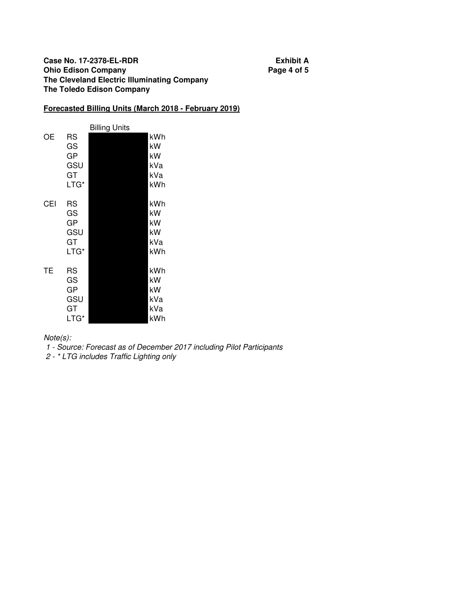## **Case No. 17-2378-EL-RDR Exhibit A Ohio Edison Company Page 4 of 5 The Cleveland Electric Illuminating Company The Toledo Edison Company**

## **Forecasted Billing Units (March 2018 - February 2019)**

|     |                                            | Billing Units |                                      |
|-----|--------------------------------------------|---------------|--------------------------------------|
| OΕ  | RS<br>GS<br>GP<br>GSU<br>GT<br>LTG*        |               | kWh<br>kW<br>kW<br>kVa<br>kVa<br>kWh |
| CEI | RS<br>GS<br>GP<br>GSU<br>GT<br>LTG*        |               | kWh<br>kW<br>kW<br>kW<br>kVa<br>kWh  |
| TE  | <b>RS</b><br>GS<br>GP<br>GSU<br>GT<br>LTG* |               | kWh<br>kW<br>kW<br>kVa<br>kVa<br>kWh |

Note(s):

1 - Source: Forecast as of December 2017 including Pilot Participants

2 - \* LTG includes Traffic Lighting only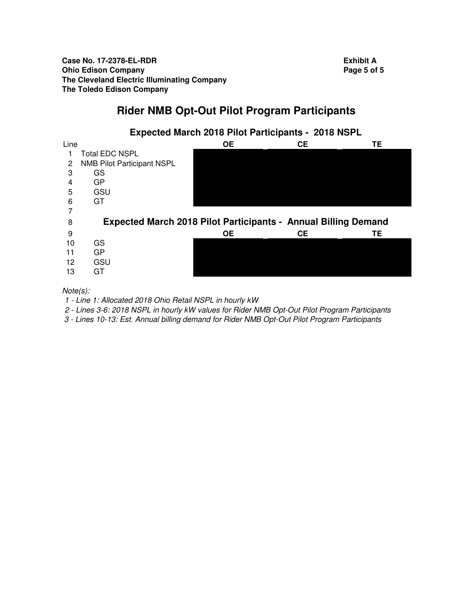**Case No. 17-2378-EL-RDR Exhibit A Ohio Edison Company Page 5 of 5 Page 5 of 5 The Cleveland Electric Illuminating Company The Toledo Edison Company**

# **Rider NMB Opt-Out Pilot Program Participants**



Note(s):

1 - Line 1: Allocated 2018 Ohio Retail NSPL in hourly kW

2 - Lines 3-6: 2018 NSPL in hourly kW values for Rider NMB Opt-Out Pilot Program Participants

3 - Lines 10-13: Est. Annual billing demand for Rider NMB Opt-Out Pilot Program Participants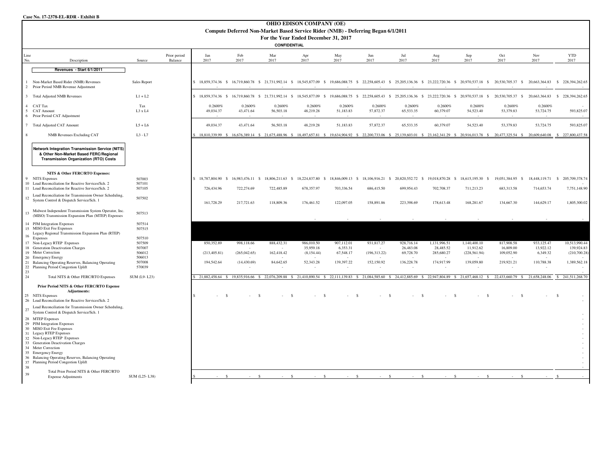#### **Case No. 17-2378-EL-RDR - Exhibit B**

|                  | <b>OHIO EDISON COMPANY (OE)</b><br>Compute Deferred Non-Market Based Service Rider (NMB) - Deferring Began 6/1/2011                              |                            |                         |                                  |                                          |                                                 |                         |                       |                      |                                                                                                                                                                                                              |                         |                                        |                                |                       |                                                  |
|------------------|--------------------------------------------------------------------------------------------------------------------------------------------------|----------------------------|-------------------------|----------------------------------|------------------------------------------|-------------------------------------------------|-------------------------|-----------------------|----------------------|--------------------------------------------------------------------------------------------------------------------------------------------------------------------------------------------------------------|-------------------------|----------------------------------------|--------------------------------|-----------------------|--------------------------------------------------|
|                  | For the Year Ended December 31, 2017<br>CONFIDENTIAL                                                                                             |                            |                         |                                  |                                          |                                                 |                         |                       |                      |                                                                                                                                                                                                              |                         |                                        |                                |                       |                                                  |
| Line<br>No.      | Description                                                                                                                                      | Source                     | Prior period<br>Balance | Jan<br>2017                      | Feb<br>2017                              | Mar<br>2017                                     | Apr<br>2017             | May<br>2017           | Jun<br>2017          | Jul<br>2017                                                                                                                                                                                                  | Aug<br>2017             | Sep<br>2017                            | Oct<br>2017                    | Nov<br>2017           | <b>YTD</b><br>2017                               |
|                  | Revenues - Start 6/1/2011                                                                                                                        |                            |                         |                                  |                                          |                                                 |                         |                       |                      |                                                                                                                                                                                                              |                         |                                        |                                |                       |                                                  |
| $\overline{2}$   | Non-Market Based Rider (NMB) Revenues<br>Prior Period NMB Revenue Adjustment                                                                     | Sales Report               |                         |                                  |                                          |                                                 |                         |                       |                      | \$ 18,859,374.36 \$ 16,719,860.78 \$ 21,731,992.14 \$ 18,545,877.09 \$ 19,686,088.75 \$ 22,258,605.43 \$ 25,205,136.36 \$ 23,222,720.36 \$ 20,970,537.18 \$ 20,530,705.37 \$ 20,663,364.83                   |                         |                                        |                                |                       | \$228,394,262.65                                 |
| 3 <sup>7</sup>   | <b>Total Adjusted NMB Revenues</b>                                                                                                               | $L1 + L2$                  |                         |                                  |                                          |                                                 |                         |                       |                      | \$ 18,859,374.36 \$ 16,719,860.78 \$ 21,731,992.14 \$ 18,545,877.09 \$ 19,686,088.75 \$ 22,258,605.43 \$ 25,205,136.36 \$ 23,222,720.36 \$ 20,970,537.18 \$                                                  |                         |                                        |                                |                       | 20,530,705.37 \$ 20,663,364.83 \$ 228,394,262.65 |
| 4<br>5           | CAT Tax<br><b>CAT Amount</b><br>6 Prior Period CAT Adjustment                                                                                    | Tax<br>L3 x L4             |                         | 0.2600%<br>49,034.37             | 0.2600%<br>43,471.64                     | 0.2600%<br>56,503.18                            | 0.2600%<br>48,219.28    | 0.2600%<br>51,183.83  | 0.2600%<br>57,872.37 | 0.2600%<br>65,533.35                                                                                                                                                                                         | 0.2600%<br>60,379.07    | 0.2600%<br>54,523.40                   | 0.2600%<br>53,379.83           | 0.2600%<br>53,724.75  | 593,825.07                                       |
|                  | 7 Total Adjusted CAT Amount                                                                                                                      | $L5 + L6$                  |                         | 49,034.37                        | 43,471.64                                | 56,503.18                                       | 48,219.28               | 51,183.83             | 57,872.37            | 65,533.35                                                                                                                                                                                                    | 60,379.07               | 54,523.40                              | 53,379.83                      | 53,724.75             | 593,825.07                                       |
|                  | <b>NMB</b> Revenues Excluding CAT                                                                                                                | $L3 - L7$                  |                         |                                  |                                          |                                                 |                         |                       |                      | \$ 18,810,339.99 \$ 16,676,389.14 \$ 21,675,488.96 \$ 18,497,657.81 \$ 19,634.904.92 \$ 22,200,733.06 \$ 25,139,603.01 \$ 23,162,341.29 \$ 20,916,013.78 \$ 20,477,325.54 \$ 20,609,640.08 \$ 227,800,437.58 |                         |                                        |                                |                       |                                                  |
|                  | <b>Network Integration Transmission Service (NITS)</b><br>& Other Non-Market Based FERC/Regional<br><b>Transmission Organization (RTO) Costs</b> |                            |                         |                                  |                                          |                                                 |                         |                       |                      |                                                                                                                                                                                                              |                         |                                        |                                |                       |                                                  |
|                  | NITS & Other FERC/RTO Expenses:                                                                                                                  |                            |                         |                                  |                                          |                                                 |                         |                       |                      |                                                                                                                                                                                                              |                         |                                        |                                |                       |                                                  |
| 9                | <b>NITS Expenses</b><br>10 Load Reconciliation for Reactive Services/Sch. 2<br>11 Load Reconciliation for Reactive Services/Sch. 2               | 507003<br>507101<br>507105 |                         | \$18,787,804.90 \$<br>726,434.96 | 722,274.69                               | 16,983,476.11 \$ 18,806,211.63 \$<br>722,485.89 | 678,357.97              | 703,336.54            | 686,415.50           | 18,224,837.80 \$ 18,846,009.13 \$ 18,106,916.21 \$ 20,820,552.72 \$ 19,018,870.28 \$<br>699,954.43                                                                                                           | 702,708.37              | 18,615,195.30 \$<br>711,213.23         | 19,051,384.95 \$<br>683,313.58 | 714,653.74            | 18,448,119.71 \$ 205,709,378.74<br>7,751,148.90  |
| 12               | Load Reconciliation for Transmission Owner Scheduling,<br>System Control & Dispatch Service/Sch. 1                                               | 507502                     |                         | 161,728.29                       | 217,721.63                               | 118,809.36                                      | 176,461.52              | 122,097.05            | 158,891.86           | 223,398.69                                                                                                                                                                                                   | 178,613.48              | 168,281.67                             | 134,667.30                     | 144,629.17            | 1,805,300.02                                     |
| 13               | Midwest Independent Transmission System Operator, Inc.<br>(MISO) Transmission Expansion Plan (MTEP) Expenses                                     | 507513                     |                         |                                  |                                          |                                                 |                         |                       |                      |                                                                                                                                                                                                              |                         |                                        |                                |                       |                                                  |
| 16               | 14 PJM Integration Expenses<br>15 MISO Exit Fee Expenses<br>Legacy Regional Transmission Expansion Plan (RTEP)<br>Expenses                       | 507514<br>507515<br>507510 |                         |                                  |                                          |                                                 |                         |                       |                      |                                                                                                                                                                                                              |                         |                                        |                                |                       |                                                  |
|                  | 17 Non-Legacy RTEP Expenses                                                                                                                      | 507509                     |                         | 850,352.89                       | 998,118.66                               | 888,432.31                                      | 986,010.50              | 907,112.01            | 931,817.27           | 928,716.14                                                                                                                                                                                                   | 1,131,996.51            | 1,140,400.10                           | 817,908.58                     | 933,125.47            | 10,513,990.44                                    |
|                  | 18 Generation Deactivation Charges<br>19 Meter Correction                                                                                        | 507007<br>506012           |                         | (213, 405.81)                    | (265, 042.65)                            | 162,418.42                                      | 35,959.18<br>(8,154.44) | 6,353.31<br>67,548.17 | (196, 313.22)        | 26,483.08<br>69,728.70                                                                                                                                                                                       | 28,485.52<br>285,680.27 | 11,912.62<br>(228, 561.94)             | 16,809.00<br>109,052.90        | 13,922.12<br>6,349.32 | 139,924.83<br>(210,700.28)                       |
|                  | 20 Emergency Energy                                                                                                                              | 506013                     |                         |                                  |                                          |                                                 |                         |                       |                      |                                                                                                                                                                                                              |                         |                                        |                                |                       |                                                  |
| 22               | 21 Balancing Operating Reserves, Balancing Operating<br>Planning Period Congestion Uplift                                                        | 507008<br>570039           |                         | 194,542.64                       | (14, 430.69)<br>$\overline{\phantom{a}}$ | 84,642.65                                       | 52,343.28               | 139,397.22            | 152,150.92           | 136,228.78                                                                                                                                                                                                   | 174,917.99              | 139,059.80<br>$\overline{\phantom{a}}$ | 219,921.21<br>$\overline{a}$   | 110,788.38            | 1,389,562.18                                     |
| $23\,$<br>$24\,$ | Total NITS & Other FERC/RTO Expenses                                                                                                             | SUM (L9-L23)               |                         |                                  | 21.882.458.64 \$ 19.835.916.66 \$        | 22,076,209.88 \$                                | 21.410.890.54 \$        | 22,111,139.83 \$      |                      | 21,084,585.60 \$24,412,885.69 \$22,947,804.89 \$21,657,468.12                                                                                                                                                |                         |                                        | 22,433,660.79                  | 21,658,248.06         | 241,511,268.70                                   |
|                  | Prior Period NITS & Other FERC/RTO Expense<br><b>Adjustments:</b>                                                                                |                            |                         |                                  |                                          |                                                 |                         |                       |                      |                                                                                                                                                                                                              |                         |                                        |                                |                       |                                                  |
|                  | 25 NITS Expenses<br>26 Load Reconciliation for Reactive Services/Sch. 2                                                                          |                            |                         |                                  |                                          |                                                 |                         |                       |                      |                                                                                                                                                                                                              |                         |                                        | $\mathcal{S}$                  |                       | $\mathcal{S}$                                    |
| $27\,$           | Load Reconciliation for Transmission Owner Scheduling,<br>System Control & Dispatch Service/Sch. 1                                               |                            |                         |                                  |                                          |                                                 |                         |                       |                      |                                                                                                                                                                                                              |                         |                                        |                                |                       |                                                  |
|                  | 28 MTEP Expenses<br>29 PJM Integration Expenses<br>30 MISO Exit Fee Expenses                                                                     |                            |                         |                                  |                                          |                                                 |                         |                       |                      |                                                                                                                                                                                                              |                         |                                        |                                |                       |                                                  |
|                  | 31 Legacy RTEP Expenses<br>32 Non-Legacy RTEP Expenses<br>33 Generation Deactivation Charges<br>34 Meter Correction                              |                            |                         |                                  |                                          |                                                 |                         |                       |                      |                                                                                                                                                                                                              |                         |                                        |                                |                       | $\sim$<br>×                                      |
|                  | 35 Emergency Energy<br>36 Balancing Operating Reserves, Balancing Operating<br>37 Planning Period Congestion Uplift                              |                            |                         |                                  |                                          |                                                 |                         |                       |                      |                                                                                                                                                                                                              |                         |                                        |                                |                       |                                                  |
| 38               | Total Prior Period NITS & Other FERC/RTO                                                                                                         |                            |                         |                                  |                                          |                                                 |                         |                       |                      |                                                                                                                                                                                                              |                         |                                        |                                |                       |                                                  |
| 39               | <b>Expense Adjustments</b>                                                                                                                       | SUM (L25-L38)              |                         | $\mathbf{s}$                     |                                          | $\mathbf{S}$                                    | $\mathbf{s}$<br>S       |                       | $-$ S $-$            | $-$ S $-$<br>$-$ S                                                                                                                                                                                           | $-$ S                   | $\mathbf{s}$                           | $\hat{\mathbf{S}}$             |                       |                                                  |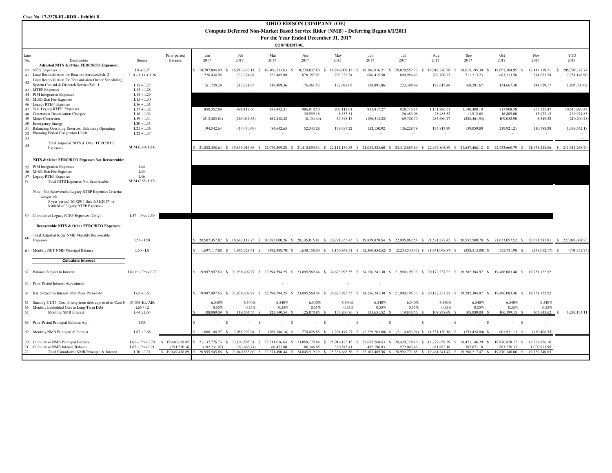| <b>OHIO EDISON COMPANY (OE)</b><br>Compute Deferred Non-Market Based Service Rider (NMB) - Deferring Began 6/1/2011<br>For the Year Ended December 31, 2017                   |                                                     |                                      |                                     |                                                      |                                    |                                       |                                     |                                        |                                                                       |                                         |                                                                                                                                                                                                                      |                                                         |                                                |                                                        |
|-------------------------------------------------------------------------------------------------------------------------------------------------------------------------------|-----------------------------------------------------|--------------------------------------|-------------------------------------|------------------------------------------------------|------------------------------------|---------------------------------------|-------------------------------------|----------------------------------------|-----------------------------------------------------------------------|-----------------------------------------|----------------------------------------------------------------------------------------------------------------------------------------------------------------------------------------------------------------------|---------------------------------------------------------|------------------------------------------------|--------------------------------------------------------|
| <b>CONFIDENTIAL</b>                                                                                                                                                           |                                                     |                                      |                                     |                                                      |                                    |                                       |                                     |                                        |                                                                       |                                         |                                                                                                                                                                                                                      |                                                         |                                                |                                                        |
| Line<br>No.<br>Description                                                                                                                                                    | Source                                              | Prior period<br>Balance              | Jan<br>2017                         | Feb<br>2017                                          | Mar<br>2017                        | Apr<br>2017                           | May<br>2017                         | Jun<br>2017                            | Jul<br>2017                                                           | Aug<br>2017                             | Sep<br>2017                                                                                                                                                                                                          | Oct<br>2017                                             | Nov<br>2017                                    | <b>YTD</b><br>2017                                     |
| Adjusted NITS & Other FERC/RTO Expenses:<br>40 NITS Expenses<br>41 Load Reconciliation for Reactive Services/Sch. 2<br>Load Reconciliation for Transmission Owner Scheduling, | $L9 + L25$<br>$L10 + L11 + L26$                     |                                      | 18,787,804.90<br>726,434.96         | 16,983,476.11<br>$\mathcal{S}$<br>- \$<br>722,274.69 | 18,806,211.63<br>-S<br>722,485.89  | 18,224,837.80<br>678,357.97           | 18,846,009.13<br>- S<br>703,336.54  | 18,106,916.21 \$<br>- \$<br>686,415.50 | 20,820,552.72<br>- \$<br>699,954.43                                   | 19,018,870.28<br>702,708.37             | 18,615,195.30 \$<br>- \$<br>711,213.23                                                                                                                                                                               | 19,051,384.95<br>- \$<br>683,313.58                     | 18,448,119.71<br>714,653.74                    | 205, 709, 378.74<br>$\hat{\mathbf{x}}$<br>7,751,148.90 |
| 42<br>System Control & Dispatch Service/Sch. 1<br>43 MTEP Expenses                                                                                                            | $L12 + L27$<br>$L13 + L28$                          |                                      | 161,728.29                          | 217,721.63                                           | 118,809.36                         | 176,461.52                            | 122,097.05                          | 158,891.86                             | 223,398.69                                                            | 178,613.48                              | 168,281.67                                                                                                                                                                                                           | 134,667.30                                              | 144,629.17                                     | 1,805,300.02                                           |
| 44 PJM Integration Expenses<br>45 MISO Exit Fee Expenses<br>46 Legacy RTEP Expenses                                                                                           | $L14 + L29$<br>$L15 + L30$<br>$L16 + L31$           |                                      |                                     |                                                      |                                    |                                       |                                     |                                        |                                                                       |                                         |                                                                                                                                                                                                                      |                                                         |                                                |                                                        |
| 47 Non-Legacy RTEP Expenses<br>48 Generation Deactivation Charges<br>49 Meter Correction                                                                                      | $L17 + L32$<br>$L18 + L33$<br>$L19 + L34$           |                                      | 850,352.89<br>(213, 405.81)         | 998,118.66<br>(265, 042.65)                          | 888,432.31<br>162,418.42           | 986,010.50<br>35,959.18<br>(8,154.44) | 907,112.01<br>6,353.31<br>67,548.17 | 931.817.27<br>$\sim$<br>(196, 313.22)  | 928,716.14<br>26,483.08<br>69,728.70                                  | 1,131,996.51<br>28,485.52<br>285,680.27 | 1,140,400.10<br>11,912.62<br>(228, 561.94)                                                                                                                                                                           | 817,908.58<br>16,809.00<br>109,052.90                   | 933,125.47<br>13,922.12<br>6,349.32            | 10,513,990.44<br>139,924.83<br>(210, 700.28)           |
| 50 Emergency Energy<br>51 Balancing Operating Reserves, Balancing Operating<br>52<br>Planning Period Congestion Uplift                                                        | $L20 + L35$<br>$L21 + L36$<br>$L22 + L37$           |                                      | 194,542.64                          | (14, 430.69)                                         | 84,642.65                          | 52,343.28<br>$\sim$                   | 139,397.22<br>$\sim$                | 152,150.92                             | 136,228.78                                                            | 174,917.99                              | 139,059.80                                                                                                                                                                                                           | 219,921.21                                              | 110,788.38                                     | 1,389,562.18                                           |
| 53<br>Total Adjusted NITS & Other FERC/RTO<br>54<br>Expenses                                                                                                                  | SUM (L40-L53)                                       |                                      |                                     |                                                      |                                    |                                       |                                     |                                        |                                                                       |                                         | \$21,882,458.64 \$19,835,916.66 \$22,076,209.88 \$21,410,890.54 \$22,111,139.83 \$21,084,585.60 \$24,412,885.69 \$22,947,804.89 \$21,657,468.12 \$22,433,660.79 \$21,658,248.06 \$241,511,268.70                     |                                                         |                                                |                                                        |
| NITS & Other FERC/RTO Expenses Not Recoverable:                                                                                                                               |                                                     |                                      |                                     |                                                      |                                    |                                       |                                     |                                        |                                                                       |                                         |                                                                                                                                                                                                                      |                                                         |                                                |                                                        |
| 55 PJM Integration Expenses<br>56 MISO Exit Fee Expenses<br>57 Legacy RTEP Expenses<br>58<br><b>Total NITS Expenses Not Recoverable</b>                                       | L44<br>L45<br>L46<br>SUM (L55-L57)                  |                                      |                                     |                                                      |                                    |                                       |                                     |                                        |                                                                       |                                         |                                                                                                                                                                                                                      |                                                         |                                                |                                                        |
| Note - Not Recoverable Legacy RTEP Expenses Criteria:<br>Longer of:<br>5 year period (6/1/2011 thru 5/31/2017) or<br>\$360 M of Legacy RTEP Expenses                          |                                                     |                                      |                                     |                                                      |                                    |                                       |                                     |                                        |                                                                       |                                         |                                                                                                                                                                                                                      |                                                         |                                                |                                                        |
| 59 Cumulative Legacy RTEP Expenses (Only)                                                                                                                                     | $L57 + Prev L59$                                    |                                      |                                     |                                                      |                                    |                                       |                                     |                                        |                                                                       |                                         |                                                                                                                                                                                                                      |                                                         |                                                |                                                        |
| Recoverable NITS & Other FERC/RTO Expenses:                                                                                                                                   |                                                     |                                      |                                     |                                                      |                                    |                                       |                                     |                                        |                                                                       |                                         |                                                                                                                                                                                                                      |                                                         |                                                |                                                        |
| Total Adjusted Rider NMB Monthly Recoverable<br>60<br>Expenses                                                                                                                | L54 - L58                                           |                                      |                                     |                                                      |                                    |                                       |                                     |                                        |                                                                       |                                         | 20.507.457.87 \$ 18.642.117.75 \$ 20.783.000.26 \$ 20.145.815.81 \$ 20.791.853.43 \$ 19.839.878.54 \$ 22.905.062.54 \$ 21.521.272.42 \$ 20.557.500.78 \$ 21.033.057.52 \$ 20.371.587.91                              |                                                         |                                                | \$227,098,604.83                                       |
| 61 Monthly NET NMB Principal Balance<br><b>Calculate Interest</b>                                                                                                             | $L60 - L8$                                          |                                      |                                     |                                                      |                                    |                                       |                                     |                                        |                                                                       |                                         | 1,697,117.88 \$ 1,965,728.61 \$ (892,488.70) \$ 1,648,158.00 \$ 1,156,948.51 \$ (2,360,854.52) \$ (2,234,540.47) \$ (1,641,068.87) \$ (358,513.00) \$                                                                | 555,731.98 \$                                           | $(238.052.17)$ \$                              | (701, 832.75)                                          |
| 62 Balance Subject to Interest                                                                                                                                                | $L61/2 + Prev L72$                                  |                                      |                                     |                                                      |                                    |                                       |                                     |                                        |                                                                       |                                         | \$ 19,997,997.63 \$ 21,938,409.97 \$ 22,594,594.25 \$ 23,095,569.44 \$ 24,623,993.55 \$ 24,156,241.30 \$ 21,990,195.33 \$ 20,172,237.22 \$ 19,282,384.97 \$                                                          | 19,486,083.46 \$ 19,751,122.52                          |                                                |                                                        |
| 63 Prior Period Interest Adjustment                                                                                                                                           |                                                     |                                      |                                     |                                                      |                                    |                                       |                                     |                                        |                                                                       |                                         |                                                                                                                                                                                                                      |                                                         |                                                |                                                        |
| 64 Bal. Subject to Interest after Prior Period Adj.                                                                                                                           | $L62 + L63$                                         |                                      |                                     |                                                      |                                    |                                       |                                     |                                        |                                                                       |                                         | \$ 19,997,997.63 \$ 21,938,409.97 \$ 22,594,594.25 \$ 23,095,569.44 \$ 24,623,993.55 \$ 24,156,241.30 \$ 21,990,195.33 \$ 20,172,237.22 \$ 19,282,384.97 \$                                                          | 19.486.083.46 \$                                        | 19,751,122.52                                  |                                                        |
| 65 Starting 7/1/15, Cost of long-term debt approved in Case N 07-551-EL-AIR<br>66 Monthly Embedded Cost to Long-Term Debt<br>67<br>Monthly NMB Interest                       | L65 / 12<br>L64 x L66                               |                                      | 6.540%<br>0.55%<br>108,989.09 \$    | 6.540%<br>0.55%<br>119.564.33 \$                     | 6.540%<br>0.55%<br>123,140.54 \$   | 6.540%<br>0.55%<br>125,870.85 \$      | 6.540%<br>0.55%<br>134,200.76 \$    | 6.540%<br>0.55%<br>131,651.52 \$       | 6.540%<br>0.55%<br>119,846.56 \$                                      | 6.540%<br>0.55%<br>109.938.69           | 6.540%<br>0.55%<br>105,089,00 \$<br>- 8                                                                                                                                                                              | 6.540%<br>0.55%<br>106.199.15 \$                        | 6.540%<br>0.55%<br>107.643.62                  | 1,292,134.11<br>$\mathcal{S}$                          |
| 68 Prior Period Principal Balance Adj.                                                                                                                                        | G/A                                                 |                                      | $\mathbf{\hat{s}}$                  | $\sim$<br>$\mathcal{S}$                              | a.<br>- S                          | $- S$                                 | $\sim$                              | -8<br>a.                               | -S<br>$-5$                                                            | $-5$                                    | $- S$                                                                                                                                                                                                                | $- S$                                                   | ÷.                                             |                                                        |
| 69 Monthly NMB Principal & Interest                                                                                                                                           | $L67 + L68$                                         |                                      | 1,806,106.97 \$                     | 2.085.292.94 \$                                      | $(769,348.16)$ \$                  | 1.774.028.85 \$                       |                                     |                                        | 1,291,149.27 \$ (2,229,203.00) \$ (2,114,693.91) \$ (1,531,130.18) \$ |                                         | $(253.424.00)$ \$                                                                                                                                                                                                    | 661,931.13 \$                                           | (130, 408, 55)                                 |                                                        |
| 70 Cumulative NMB Principal Balance<br>71 Cumulative NMB Interest Balance<br>Total Cumulative NMB Principal & Interest<br>72                                                  | $L61 + Prev L70$<br>$L67 + Prev L71$<br>$L70 + L71$ | 19,440,658.85<br>- \$<br>(291.220.16 | $$21,137,776.73$ \$<br>(182.231.07) | 23,103,505.34<br>-S<br>(62,666,74)                   | 22,211,016.64<br>- \$<br>60.473.80 | 23,859,174.64<br>186.344.65           | 25,016,123.15<br>-S<br>320,545.41   | 22,655,268.63<br>S.<br>452.196.93      | 20,420,728.16 \$ 18,779,659.29<br>-S<br>572.043.49                    | 681.982.18                              | 18,421,146.29 \$<br>-S<br>787.071.18<br>\$ 19,149,438.69 \$ 20,955,545.66 \$ 23,040,838.60 \$ 22,271,490.44 \$ 24,045,519.29 \$ 25,336,668.56 \$ 23,107,465.56 \$ 20,992,771.65 \$ 19,461,641.47 \$ 19,208,217.47 \$ | 18,976,878.27<br>- \$<br>893.270.33<br>19,870,148.60 \$ | 18,738,826.10<br>1.000.913.95<br>19,739,740.05 |                                                        |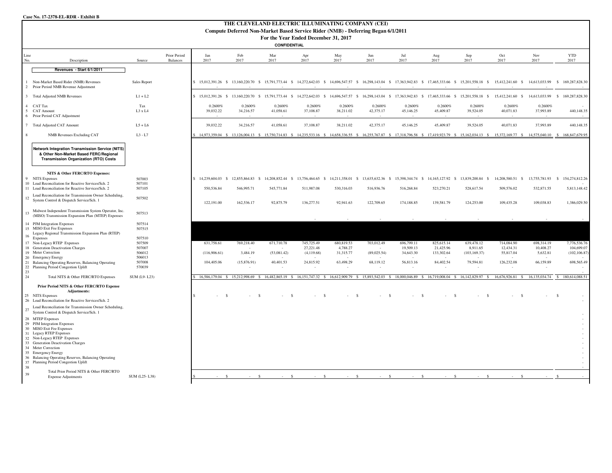#### **Case No. 17-2378-EL-RDR - Exhibit B**

|                          | THE CLEVELAND ELECTRIC ILLUMINATING COMPANY (CEI)<br>Compute Deferred Non-Market Based Service Rider (NMB) - Deferring Began 6/1/2011                                                                                                                                                                                      |                            |                          |                                |                      |                                                                  |                         |                                |                      |                                                                             |                         |                                                                                                                                                                                                           |                                |                                               |              |                             |
|--------------------------|----------------------------------------------------------------------------------------------------------------------------------------------------------------------------------------------------------------------------------------------------------------------------------------------------------------------------|----------------------------|--------------------------|--------------------------------|----------------------|------------------------------------------------------------------|-------------------------|--------------------------------|----------------------|-----------------------------------------------------------------------------|-------------------------|-----------------------------------------------------------------------------------------------------------------------------------------------------------------------------------------------------------|--------------------------------|-----------------------------------------------|--------------|-----------------------------|
|                          |                                                                                                                                                                                                                                                                                                                            |                            |                          |                                |                      | For the Year Ended December 31, 2017                             |                         |                                |                      |                                                                             |                         |                                                                                                                                                                                                           |                                |                                               |              |                             |
|                          |                                                                                                                                                                                                                                                                                                                            |                            |                          |                                |                      | CONFIDENTIAL                                                     |                         |                                |                      |                                                                             |                         |                                                                                                                                                                                                           |                                |                                               |              |                             |
| Line<br>No.              | Description                                                                                                                                                                                                                                                                                                                | Source                     | Prior Period<br>Balances | Jan<br>2017                    | Feb<br>2017          | Mar<br>2017                                                      | Apr<br>2017             | May<br>2017                    | Jun<br>2017          | Jul<br>2017                                                                 | Aug<br>2017             | Sep<br>2017                                                                                                                                                                                               | Oct<br>2017                    | Nov<br>2017                                   |              | <b>YTD</b><br>2017          |
|                          | Revenues - Start 6/1/2011                                                                                                                                                                                                                                                                                                  |                            |                          |                                |                      |                                                                  |                         |                                |                      |                                                                             |                         |                                                                                                                                                                                                           |                                |                                               |              |                             |
| $\overline{2}$           | Non-Market Based Rider (NMB) Revenues<br>Prior Period NMB Revenue Adjustment                                                                                                                                                                                                                                               | Sales Report               |                          | s                              |                      |                                                                  |                         |                                |                      |                                                                             |                         | 15,012,391.26 \$ 13,160,220.70 \$ 15,791,773.44 \$ 14,272,642.03 \$ 14,696,547.57 \$ 16,298,143.04 \$ 17,363,942.83 \$ 17,465,333.66 \$ 15,201,558.18 \$ 15,412,241.60 \$ 14,613,033.99                   |                                |                                               |              | \$169,287,828,30            |
| $\overline{3}$           | <b>Total Adjusted NMB Revenues</b>                                                                                                                                                                                                                                                                                         | $L1 + L2$                  |                          | S.                             |                      |                                                                  |                         |                                |                      |                                                                             |                         | 15,012,391.26 \$ 13,160,220.70 \$ 15,791,773.44 \$ 14,272,642.03 \$ 14,696,547.57 \$ 16,298,143.04 \$ 17,363,942.83 \$ 17,465,333.66 \$ 15,201,558.18 \$                                                  | 15,412,241.60 \$               | 14,613,033.99                                 | $\mathbf{s}$ | 169,287,828.30              |
| $\overline{4}$<br>5<br>6 | CAT Tax<br><b>CAT Amount</b><br>Prior Period CAT Adjustment                                                                                                                                                                                                                                                                | Tax<br>L3 x L4             |                          | 0.2600%<br>39,032.22           | 0.2600%<br>34,216.57 | 0.2600%<br>41,058.61                                             | 0.2600%<br>37,108.87    | 0.2600%<br>38,211.02           | 0.2600%<br>42,375.17 | 0.2600%<br>45,146.25                                                        | 0.2600%<br>45,409.87    | 0.2600%<br>39,524.05                                                                                                                                                                                      | 0.2600%<br>40,071.83           | 0.2600%<br>37,993.89                          |              | 440,148.35                  |
|                          | 7 Total Adjusted CAT Amount                                                                                                                                                                                                                                                                                                | $L5+L6$                    |                          | 39,032.22                      | 34,216.57            | 41,058.61                                                        | 37,108.87               | 38,211.02                      | 42,375.17            | 45,146.25                                                                   | 45,409.87               | 39,524.05                                                                                                                                                                                                 | 40,071.83                      | 37,993.89                                     |              | 440,148.35                  |
| $\mathbf{\mathcal{R}}$   | <b>NMB</b> Revenues Excluding CAT                                                                                                                                                                                                                                                                                          | $L3 - L7$                  |                          |                                |                      |                                                                  |                         |                                |                      |                                                                             |                         | 14.973.359.04 \$ 13.126.004.13 \$ 15.750.714.83 \$ 14.235.533.16 \$ 14.658.336.55 \$ 16.255.767.87 \$ 17.318.796.58 \$ 17.419.923.79 \$ 15.162.034.13 \$ 15.372.169.77 \$ 14.575.040.10 \$ 168.847.679.95 |                                |                                               |              |                             |
|                          | <b>Network Integration Transmission Service (NITS)</b><br>& Other Non-Market Based FERC/Regional<br><b>Transmission Organization (RTO) Costs</b>                                                                                                                                                                           |                            |                          |                                |                      |                                                                  |                         |                                |                      |                                                                             |                         |                                                                                                                                                                                                           |                                |                                               |              |                             |
|                          | NITS & Other FERC/RTO Expenses:                                                                                                                                                                                                                                                                                            |                            |                          |                                |                      |                                                                  |                         |                                |                      |                                                                             |                         |                                                                                                                                                                                                           |                                |                                               |              |                             |
| 9                        | <b>NITS Expenses</b><br>10 Load Reconciliation for Reactive Services/Sch. 2<br>11 Load Reconciliation for Reactive Services/Sch. 2                                                                                                                                                                                         | 507003<br>507101<br>507105 |                          | 14,239,604.03 \$<br>550,536.84 | 546,995.71           | 12,855,864.83 \$ 14,208,852.44 \$ 13,756,464.65 \$<br>545,771.84 | 511,987.08              | 14,211,358.01 \$<br>530,316.03 | 516,936.76           | 13,635,632.36 \$15,398,344.74 \$14,165,127.92 \$13,839,200.84<br>516,268.84 | 523,270.21              | -S<br>528,617.54                                                                                                                                                                                          | 14,208,580.51 \$<br>509,576.02 | 13,755,781.93 \$ 154,274,812.26<br>532,871.55 |              | 5,813,148.42                |
| 12                       | Load Reconciliation for Transmission Owner Scheduling,<br>System Control & Dispatch Service/Sch. 1                                                                                                                                                                                                                         | 507502                     |                          | 122,191.00                     | 162,536.17           | 92,875.79                                                        | 136,277.51              | 92,941.63                      | 122,709.65           | 174,188.85                                                                  | 139,581.79              | 124,253.00                                                                                                                                                                                                | 109,435.28                     | 109,038.83                                    |              | 1,386,029.50                |
| 13                       | Midwest Independent Transmission System Operator, Inc.<br>(MISO) Transmission Expansion Plan (MTEP) Expenses                                                                                                                                                                                                               | 507513                     |                          |                                |                      |                                                                  |                         |                                |                      |                                                                             |                         |                                                                                                                                                                                                           |                                |                                               |              |                             |
| 16                       | 14 PJM Integration Expenses<br>15 MISO Exit Fee Expenses<br>Legacy Regional Transmission Expansion Plan (RTEP)<br>Expenses                                                                                                                                                                                                 | 507514<br>507515<br>507510 |                          |                                |                      |                                                                  |                         |                                |                      |                                                                             |                         |                                                                                                                                                                                                           |                                |                                               |              |                             |
|                          | 17 Non-Legacy RTEP Expenses                                                                                                                                                                                                                                                                                                | 507509                     |                          | 631,758.61                     | 769,218.40           | 671,710.78                                                       | 745,725.49              | 680,819.53                     | 703,012.49           | 696,799.11                                                                  | 825,615.14              | 639,478.12                                                                                                                                                                                                | 714,084.90                     | 698,314.19                                    |              | 7,776,536.76                |
|                          | 18 Generation Deactivation Charges<br>19 Meter Correction                                                                                                                                                                                                                                                                  | 507007<br>506012           |                          | (116,906,61)                   | 3,484.19             | (53,081.42)                                                      | 27,221.48<br>(4,119.68) | 4,788.27<br>31,315.77          | (89,025.54)          | 19,509.13<br>34,643.30                                                      | 21,425.96<br>133,302.64 | 8,911.65<br>(103, 169.37)                                                                                                                                                                                 | 12,434.31<br>55,817.04         | 10,408.27<br>5,632.81                         |              | 104,699.07<br>(102, 106.87) |
|                          | 20 Emergency Energy<br>21 Balancing Operating Reserves, Balancing Operating                                                                                                                                                                                                                                                | 506013<br>507008           |                          | 104,405.06                     | (15,876.91)          | 40,401.53                                                        | 24,815.92               | 63,498.29                      | 68,119.12            | 56,813.16                                                                   | 84,402.54               | 79,594.81                                                                                                                                                                                                 | 126,232.08                     | 66,159.89                                     |              | 698,565.49                  |
| 23                       | 22 Planning Period Congestion Uplift                                                                                                                                                                                                                                                                                       | 570039                     |                          |                                |                      |                                                                  |                         |                                |                      |                                                                             |                         |                                                                                                                                                                                                           |                                |                                               |              |                             |
| 24                       | Total NITS & Other FERC/RTO Expenses                                                                                                                                                                                                                                                                                       | SUM (L9-L23)               |                          |                                |                      |                                                                  |                         |                                |                      |                                                                             |                         | 16.586.179.04 \$ 15.212.998.69 \$ 16.482.865.19 \$ 16.151.747.32 \$ 16.612.909.79 \$ 15.893.542.03 \$ 18.000.046.89 \$ 16.719.008.04 \$ 16.142.829.97 \$                                                  | 16,676,926.81 \$               | 16.135.034.74 \$ 180.614.088.51               |              |                             |
|                          | Prior Period NITS & Other FERC/RTO Expense<br><b>Adjustments:</b><br>25 NITS Expenses<br>26 Load Reconciliation for Reactive Services/Sch. 2                                                                                                                                                                               |                            |                          |                                |                      |                                                                  | - \$                    |                                |                      |                                                                             |                         |                                                                                                                                                                                                           |                                |                                               |              |                             |
| 27                       | Load Reconciliation for Transmission Owner Scheduling,<br>System Control & Dispatch Service/Sch. 1                                                                                                                                                                                                                         |                            |                          |                                |                      |                                                                  |                         |                                |                      |                                                                             |                         |                                                                                                                                                                                                           |                                |                                               |              |                             |
|                          | 28 MTEP Expenses<br>29 PJM Integration Expenses<br>30 MISO Exit Fee Expenses<br>31 Legacy RTEP Expenses<br>32 Non-Legacy RTEP Expenses<br>33 Generation Deactivation Charges<br>34 Meter Correction<br>35 Emergency Energy<br>36 Balancing Operating Reserves, Balancing Operating<br>37 Planning Period Congestion Uplift |                            |                          |                                |                      |                                                                  |                         |                                |                      |                                                                             |                         |                                                                                                                                                                                                           |                                |                                               |              |                             |
| 38                       | Total Prior Period NITS & Other FERC/RTO                                                                                                                                                                                                                                                                                   |                            |                          |                                |                      |                                                                  |                         |                                |                      |                                                                             |                         |                                                                                                                                                                                                           |                                |                                               |              |                             |
| 39                       | <b>Expense Adjustments</b>                                                                                                                                                                                                                                                                                                 | SUM (L25-L38)              |                          |                                |                      |                                                                  | $\hat{\mathbf{x}}$      | $\mathcal{S}$                  |                      |                                                                             |                         |                                                                                                                                                                                                           |                                |                                               |              |                             |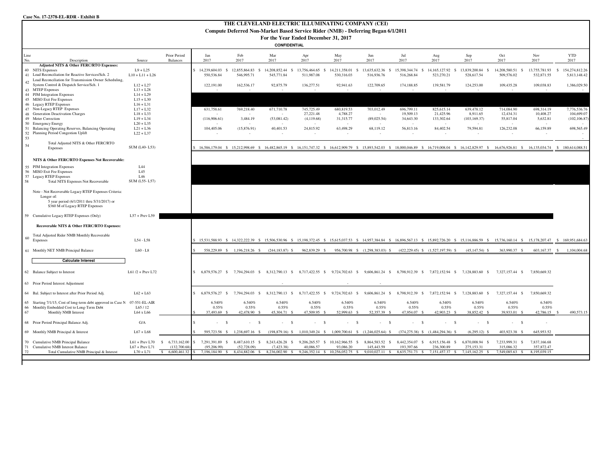| Case No. 17-2378-EL-RDR - Exhibit B                                                   |                                 |                                                 |                     |                                                                                                                                                                                                           |                                                 |                     |                                               |                                                                   |                    |                                               |                                                                 |                               |                            |                                  |
|---------------------------------------------------------------------------------------|---------------------------------|-------------------------------------------------|---------------------|-----------------------------------------------------------------------------------------------------------------------------------------------------------------------------------------------------------|-------------------------------------------------|---------------------|-----------------------------------------------|-------------------------------------------------------------------|--------------------|-----------------------------------------------|-----------------------------------------------------------------|-------------------------------|----------------------------|----------------------------------|
|                                                                                       |                                 |                                                 |                     | THE CLEVELAND ELECTRIC ILLUMINATING COMPANY (CEI)                                                                                                                                                         |                                                 |                     |                                               |                                                                   |                    |                                               |                                                                 |                               |                            |                                  |
|                                                                                       |                                 |                                                 |                     | Compute Deferred Non-Market Based Service Rider (NMB) - Deferring Began 6/1/2011                                                                                                                          |                                                 |                     |                                               |                                                                   |                    |                                               |                                                                 |                               |                            |                                  |
|                                                                                       |                                 |                                                 |                     |                                                                                                                                                                                                           | For the Year Ended December 31, 2017            |                     |                                               |                                                                   |                    |                                               |                                                                 |                               |                            |                                  |
|                                                                                       |                                 |                                                 |                     |                                                                                                                                                                                                           | <b>CONFIDENTIAL</b>                             |                     |                                               |                                                                   |                    |                                               |                                                                 |                               |                            |                                  |
|                                                                                       |                                 |                                                 |                     |                                                                                                                                                                                                           |                                                 |                     |                                               |                                                                   |                    |                                               |                                                                 |                               |                            |                                  |
| Line<br>No.<br>Description                                                            | Source                          | Prior Period<br>Balances                        | Jan<br>2017         | Feb<br>2017                                                                                                                                                                                               | Mar<br>2017                                     | Apr<br>2017         | May<br>2017                                   | Jun<br>2017                                                       | Jul<br>2017        | Aug<br>2017                                   | Sep<br>2017                                                     | Oct<br>2017                   | Nov<br>2017                | <b>YTD</b><br>2017               |
| Adjusted NITS & Other FERC/RTO Expenses:                                              |                                 |                                                 |                     |                                                                                                                                                                                                           |                                                 |                     |                                               |                                                                   |                    |                                               |                                                                 |                               |                            |                                  |
| 40 NITS Expenses                                                                      | $L9 + L25$                      |                                                 | 14.239.604.03       | 12.855.864.83 \$<br>- S                                                                                                                                                                                   | 14.208.852.44 \$                                | 13,756,464.65<br>S. | 14.211.358.01 \$                              | 13.635.632.36 S                                                   | 15,398,344.74 \$   | 14, 165, 127, 92 \$                           | 13.839.200.84 \$                                                | 14.208.580.51 \$              | 13,755,781.93 \$           | 154,274,812.26                   |
| 41 Load Reconciliation for Reactive Services/Sch. 2                                   | $L10 + L11 + L26$               |                                                 | 550,536.84          | 546,995.71                                                                                                                                                                                                | 545,771.84                                      | 511,987.08          | 530,316.03                                    | 516,936.76                                                        | 516,268.84         | 523,270.21                                    | 528,617.54                                                      | 509,576.02                    | 532,871.55                 | 5,813,148.42                     |
| Load Reconciliation for Transmission Owner Scheduling,<br>42                          |                                 |                                                 |                     |                                                                                                                                                                                                           |                                                 |                     |                                               |                                                                   |                    |                                               |                                                                 |                               |                            |                                  |
| System Control & Dispatch Service/Sch. 1<br>43 MTEP Expenses                          | $L12 + L27$<br>$L13 + L28$      |                                                 | 122,191.00          | 162,536.17                                                                                                                                                                                                | 92,875.79                                       | 136,277.51          | 92,941.63                                     | 122,709.65                                                        | 174,188.85         | 139,581.79                                    | 124,253.00                                                      | 109,435.28                    | 109,038.83                 | 1,386,029.50                     |
| 44 PJM Integration Expenses                                                           | $L14 + L29$                     |                                                 |                     |                                                                                                                                                                                                           |                                                 |                     |                                               |                                                                   |                    |                                               |                                                                 |                               |                            |                                  |
| 45 MISO Exit Fee Expenses                                                             | $L15 + L30$                     |                                                 |                     |                                                                                                                                                                                                           |                                                 |                     |                                               |                                                                   |                    |                                               |                                                                 |                               |                            |                                  |
| 46 Legacy RTEP Expenses                                                               | $L16 + L31$                     |                                                 |                     |                                                                                                                                                                                                           |                                                 |                     |                                               |                                                                   |                    |                                               |                                                                 |                               |                            |                                  |
| 47 Non-Legacy RTEP Expenses                                                           | $L17 + L32$                     |                                                 | 631,758.61          | 769,218.40                                                                                                                                                                                                | 671,710.78                                      | 745,725.49          | 680,819.53                                    | 703,012.49                                                        | 696,799.11         | 825,615.14                                    | 639,478.12                                                      | 714,084.90                    | 698,314.19                 | 7,776,536.76                     |
| 48 Generation Deactivation Charges                                                    | $L18 + L33$                     |                                                 |                     |                                                                                                                                                                                                           |                                                 | 27,221.48           | 4,788.27                                      |                                                                   | 19,509.13          | 21,425.96                                     | 8,911.65                                                        | 12,434.31                     | 10,408.27                  | 104,699.07                       |
| 49 Meter Correction<br>50 Emergency Energy                                            | $L19 + L34$                     |                                                 | (116,906.61)        | 3,484.19                                                                                                                                                                                                  | (53,081.42)                                     | (4,119.68)          | 31,315.77                                     | (89,025.54)                                                       | 34,643.30          | 133,302.64                                    | (103, 169.37)                                                   | 55,817.04                     | 5,632.81                   | (102, 106.87)                    |
| 51 Balancing Operating Reserves, Balancing Operating                                  | $L20 + L35$<br>$L21 + L36$      |                                                 | 104,405.06          | (15,876.91)                                                                                                                                                                                               | 40,401.53                                       | 24,815.92           | 63,498.29                                     | 68,119.12                                                         | 56,813.16          | 84,402.54                                     | 79,594.81                                                       | 126,232.08                    | $\sim$<br>66,159.89        | 698.565.49                       |
| 52 Planning Period Congestion Uplift<br>53                                            | $L22 + L37$                     |                                                 |                     | $\sim$                                                                                                                                                                                                    | $\sim$                                          | $\sim$              | ×                                             |                                                                   |                    | $\sim$                                        | $\sim$                                                          | $\sim$                        | - 1                        |                                  |
| Total Adjusted NITS & Other FERC/RTO<br>54                                            |                                 |                                                 |                     |                                                                                                                                                                                                           |                                                 |                     |                                               |                                                                   |                    |                                               |                                                                 |                               |                            |                                  |
| Expenses                                                                              | SUM (L40-L53)                   |                                                 |                     | 16.586.179.04 \$ 15.212.998.69 \$ 16.482.865.19 \$ 16.151.747.32 \$ 16.612.909.79 \$ 15.893.542.03 \$ 18.000.046.89 \$ 16.719.008.04 \$ 16.142.829.97 \$ 16.676.926.81 \$ 16.135.034.74                   |                                                 |                     |                                               |                                                                   |                    |                                               |                                                                 |                               |                            | \$180,614,088.51                 |
|                                                                                       |                                 |                                                 |                     |                                                                                                                                                                                                           |                                                 |                     |                                               |                                                                   |                    |                                               |                                                                 |                               |                            |                                  |
| NITS & Other FERC/RTO Expenses Not Recoverable:                                       |                                 |                                                 |                     |                                                                                                                                                                                                           |                                                 |                     |                                               |                                                                   |                    |                                               |                                                                 |                               |                            |                                  |
| 55 PJM Integration Expenses                                                           | L44                             |                                                 |                     |                                                                                                                                                                                                           |                                                 |                     |                                               |                                                                   |                    |                                               |                                                                 |                               |                            |                                  |
| 56 MISO Exit Fee Expenses                                                             | L45                             |                                                 |                     |                                                                                                                                                                                                           |                                                 |                     |                                               |                                                                   |                    |                                               |                                                                 |                               |                            |                                  |
| 57 Legacy RTEP Expenses                                                               | L46                             |                                                 |                     |                                                                                                                                                                                                           |                                                 |                     |                                               |                                                                   |                    |                                               |                                                                 |                               |                            |                                  |
| 58<br><b>Total NITS Expenses Not Recoverable</b>                                      | SUM (L55-L57)                   |                                                 |                     |                                                                                                                                                                                                           |                                                 |                     |                                               |                                                                   |                    |                                               |                                                                 |                               |                            |                                  |
| Note - Not Recoverable Legacy RTEP Expenses Criteria:                                 |                                 |                                                 |                     |                                                                                                                                                                                                           |                                                 |                     |                                               |                                                                   |                    |                                               |                                                                 |                               |                            |                                  |
| Longer of:                                                                            |                                 |                                                 |                     |                                                                                                                                                                                                           |                                                 |                     |                                               |                                                                   |                    |                                               |                                                                 |                               |                            |                                  |
| 5 year period (6/1/2011 thru 5/31/2017) or                                            |                                 |                                                 |                     |                                                                                                                                                                                                           |                                                 |                     |                                               |                                                                   |                    |                                               |                                                                 |                               |                            |                                  |
| \$360 M of Legacy RTEP Expenses                                                       |                                 |                                                 |                     |                                                                                                                                                                                                           |                                                 |                     |                                               |                                                                   |                    |                                               |                                                                 |                               |                            |                                  |
|                                                                                       |                                 |                                                 |                     |                                                                                                                                                                                                           |                                                 |                     |                                               |                                                                   |                    |                                               |                                                                 |                               |                            |                                  |
| 59 Cumulative Legacy RTEP Expenses (Only)                                             | $L57 + Prev L59$                |                                                 |                     |                                                                                                                                                                                                           |                                                 |                     |                                               |                                                                   |                    |                                               |                                                                 |                               |                            |                                  |
| Recoverable NITS & Other FERC/RTO Expenses:                                           |                                 |                                                 |                     |                                                                                                                                                                                                           |                                                 |                     |                                               |                                                                   |                    |                                               |                                                                 |                               |                            |                                  |
|                                                                                       |                                 |                                                 |                     |                                                                                                                                                                                                           |                                                 |                     |                                               |                                                                   |                    |                                               |                                                                 |                               |                            |                                  |
| Total Adjusted Rider NMB Monthly Recoverable<br>60                                    |                                 |                                                 |                     |                                                                                                                                                                                                           |                                                 |                     |                                               |                                                                   |                    |                                               |                                                                 |                               |                            |                                  |
| Expenses                                                                              | $L54 - L58$                     |                                                 |                     | 15.531.588.93 \$ 14.322.222.39 \$ 15.506.530.96 \$ 15.198.372.45 \$ 15.615.037.53 \$ 14.957.384.84 \$ 16.896.567.13 \$ 15.892.726.20 \$ 15.116.886.59 \$ 15.736.160.14 \$ 15.178.207.47 \$ 169.951.684.63 |                                                 |                     |                                               |                                                                   |                    |                                               |                                                                 |                               |                            |                                  |
| 61 Monthly NET NMB Principal Balance                                                  | $L60 - L8$                      |                                                 |                     | 558,229.89 \$ 1,196,218.26 \$ (244,183.87) \$                                                                                                                                                             |                                                 | 962,839.29 \$       |                                               | 956,700.98 \$ (1,298,383.03) \$ (422,229.45) \$ (1,527,197.59) \$ |                    |                                               | $(45, 147.54)$ \$                                               | 363,990.37 \$                 | 603,167.37                 | $\mathbf{s}$<br>1,104,004.68     |
|                                                                                       |                                 |                                                 |                     |                                                                                                                                                                                                           |                                                 |                     |                                               |                                                                   |                    |                                               |                                                                 |                               |                            |                                  |
| <b>Calculate Interest</b>                                                             |                                 |                                                 |                     |                                                                                                                                                                                                           |                                                 |                     |                                               |                                                                   |                    |                                               |                                                                 |                               |                            |                                  |
|                                                                                       |                                 |                                                 |                     |                                                                                                                                                                                                           |                                                 |                     |                                               |                                                                   |                    |                                               |                                                                 |                               |                            |                                  |
| 62 Balance Subject to Interest                                                        | L61 /2 + Prev L72               |                                                 |                     | 6,879,576.27 \$ 7,794,294.03 \$                                                                                                                                                                           | 8,312,790.13 \$ 8,717,422.55 \$ 9,724,702.63 \$ |                     |                                               |                                                                   |                    |                                               | 9,606,861.24 \$ 8,798,912.39 \$ 7,872,152.94 \$ 7,128,883.60 \$ | 7,327,157.44 \$               | 7,850,669.32               |                                  |
|                                                                                       |                                 |                                                 |                     |                                                                                                                                                                                                           |                                                 |                     |                                               |                                                                   |                    |                                               |                                                                 |                               |                            |                                  |
| 63 Prior Period Interest Adjustment                                                   |                                 |                                                 |                     |                                                                                                                                                                                                           |                                                 |                     |                                               |                                                                   |                    |                                               |                                                                 |                               |                            |                                  |
| 64 Bal. Subject to Interest after Prior Period Adj.                                   | $L62 + L63$                     |                                                 |                     | 6,879,576.27 \$ 7,794,294.03 \$                                                                                                                                                                           | 8,312,790.13 \$ 8,717,422.55 \$                 |                     | 9,724,702.63 \$                               |                                                                   |                    |                                               | 9,606,861.24 \$ 8,798,912.39 \$ 7,872,152.94 \$ 7,128,883.60 \$ | 7,327,157.44 \$               | 7,850,669.32               |                                  |
|                                                                                       |                                 |                                                 |                     |                                                                                                                                                                                                           |                                                 |                     |                                               |                                                                   |                    |                                               |                                                                 |                               |                            |                                  |
| 65 Starting 7/1/15, Cost of long-term debt approved in Case N 07-551-EL-AIR           |                                 |                                                 | 6.540%              | 6.540%                                                                                                                                                                                                    | 6.540%                                          | 6.540%              | 6.540%                                        | 6.540%                                                            | 6.540%             | 6.540%                                        | 6.540%                                                          | 6.540%                        | 6.540%                     |                                  |
| 66 Monthly Embedded Cost to Long-Term Debt                                            | L65/12                          |                                                 | 0.55%               | 0.55%                                                                                                                                                                                                     | 0.55%                                           | 0.55%               | 0.55%                                         | 0.55%                                                             | 0.55%              | 0.55%                                         | 0.55%                                                           | 0.55%                         | 0.55%                      |                                  |
| Monthly NMB Interest<br>67                                                            | L64 x L66                       |                                                 | 37,493.69 \$        | 42,478.90 \$                                                                                                                                                                                              | 45,304.71 \$                                    | 47,509.95 \$        | 52,999.63 \$                                  | 52,357.39 \$                                                      | 47,954.07 \$       | 42,903.23 \$                                  | 38,852.42 \$                                                    | 39.933.01 \$                  | 42,786.15                  | 490,573.15<br>$\hat{\mathbf{x}}$ |
| 68 Prior Period Principal Balance Adj.                                                | G/A                             |                                                 |                     | $\mathbf{\hat{s}}$<br><sup>\$</sup><br>$\sim$                                                                                                                                                             | -S                                              | - \$                |                                               | s<br>- \$                                                         | - \$               | $\mathbf{s}$<br>$\sim$                        | $\mathbf{s}$<br>$\sim$                                          | $-5$                          |                            |                                  |
|                                                                                       |                                 |                                                 |                     |                                                                                                                                                                                                           |                                                 |                     |                                               |                                                                   |                    |                                               |                                                                 |                               |                            |                                  |
| 69 Monthly NMB Principal & Interest                                                   | $L67 + L68$                     |                                                 | 595,723.58 \$       | 1,238,697.16 \$                                                                                                                                                                                           | $(198,879.16)$ S                                | 1,010,349.24 \$     |                                               | 1,009,700.61 \$ (1,246,025.64) \$                                 |                    | (374,275.38) \$ (1,484,294.36) \$             | $(6,295.12)$ \$                                                 | 403,923.38 \$                 | 645,953.52                 |                                  |
|                                                                                       |                                 |                                                 |                     |                                                                                                                                                                                                           |                                                 |                     |                                               |                                                                   |                    |                                               |                                                                 |                               |                            |                                  |
| Cumulative NMB Principal Balance<br>70                                                | $L61 + Prev L70$                | 6,733,162.00<br>-S                              | 7,291,391.89<br>-S. | 8,487,610.15 \$<br>- \$                                                                                                                                                                                   | 8,243,426.28<br>-S                              | 9,206,265.57<br>-S  | 10,162,966.55                                 | 8,864,583.52 \$<br>-S                                             | 8,442,354.07<br>-S | 6,915,156.48<br>S.                            | 6,870,008.94<br>-S                                              | 7,233,999.31<br>-S            | 7,837,166.68               |                                  |
| 71 Cumulative NMB Interest Balance<br>Total Cumulative NMB Principal & Interest<br>72 | $L67 + Prev L71$<br>$L70 + L71$ | (132,700,68)<br>$\mathbb{S}$<br>6,600,461.32 \$ | (95.206.99)         | (52.728.09)<br>7,196,184.90 \$ 8,434,882.06 \$ 8,236,002.90 \$                                                                                                                                            | (7.423.38)                                      | 40,086.57           | 93,086.20<br>9,246,352.14 \$ 10,256,052.75 \$ | 145,443.59<br>9,010,027.11 \$                                     | 193,397.66         | 236,300.89<br>8,635,751.73 \$ 7,151,457.37 \$ | 275.153.31<br>7,145,162.25 \$                                   | 315,086.32<br>7,549,085.63 \$ | 357,872.47<br>8,195,039.15 |                                  |
|                                                                                       |                                 |                                                 |                     |                                                                                                                                                                                                           |                                                 |                     |                                               |                                                                   |                    |                                               |                                                                 |                               |                            |                                  |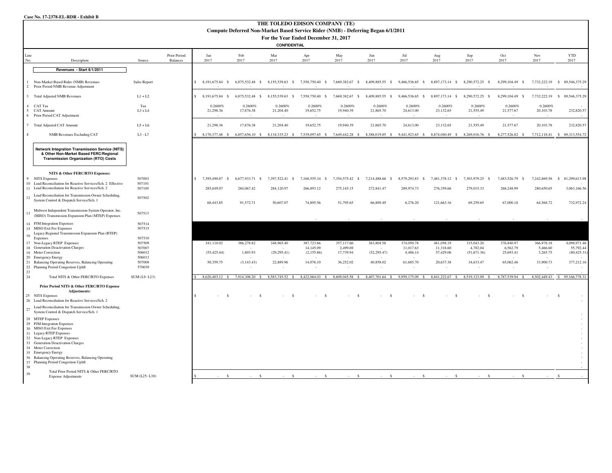#### **Case No. 17-2378-EL-RDR - Exhibit B**

| THE TOLEDO EDISON COMPANY (TE)<br>Compute Deferred Non-Market Based Service Rider (NMB) - Deferring Began 6/1/2011                                                                                                                                                                                                               |                                                                                                                                                  |                            |                                 |                                    |                                 |                                                             |                               |                               |                                                              |                               |                               |                                                                                                                                         |                               |                            |                                           |
|----------------------------------------------------------------------------------------------------------------------------------------------------------------------------------------------------------------------------------------------------------------------------------------------------------------------------------|--------------------------------------------------------------------------------------------------------------------------------------------------|----------------------------|---------------------------------|------------------------------------|---------------------------------|-------------------------------------------------------------|-------------------------------|-------------------------------|--------------------------------------------------------------|-------------------------------|-------------------------------|-----------------------------------------------------------------------------------------------------------------------------------------|-------------------------------|----------------------------|-------------------------------------------|
|                                                                                                                                                                                                                                                                                                                                  |                                                                                                                                                  |                            |                                 |                                    |                                 |                                                             |                               |                               |                                                              |                               |                               |                                                                                                                                         |                               |                            |                                           |
|                                                                                                                                                                                                                                                                                                                                  |                                                                                                                                                  |                            |                                 |                                    |                                 | For the Year Ended December 31, 2017<br><b>CONFIDENTIAL</b> |                               |                               |                                                              |                               |                               |                                                                                                                                         |                               |                            |                                           |
|                                                                                                                                                                                                                                                                                                                                  |                                                                                                                                                  |                            |                                 |                                    |                                 |                                                             |                               |                               |                                                              |                               |                               |                                                                                                                                         |                               |                            |                                           |
| Line<br>No.                                                                                                                                                                                                                                                                                                                      | Description                                                                                                                                      | Source                     | Prior Period<br><b>Balances</b> | Jan<br>2017                        | Feb<br>2017                     | Mar<br>2017                                                 | Apr<br>2017                   | May<br>2017                   | Jun<br>2017                                                  | Jul<br>2017                   | Aug<br>2017                   | Sep<br>2017                                                                                                                             | Oct<br>2017                   | Nov<br>2017                | <b>YTD</b><br>2017                        |
|                                                                                                                                                                                                                                                                                                                                  | Revenues - Start 6/1/2011                                                                                                                        |                            |                                 |                                    |                                 |                                                             |                               |                               |                                                              |                               |                               |                                                                                                                                         |                               |                            |                                           |
| Non-Market Based Rider (NMB) Revenues<br>2 Prior Period NMB Revenue Adjustment                                                                                                                                                                                                                                                   |                                                                                                                                                  | Sales Report               |                                 | $\mathsf{S}$                       | 8,191,675.84 \$ 6,875,532.48 \$ |                                                             |                               |                               | 8,155,539.63 \$7,558,750.40 \$7,669,382.67 \$8,409,885.55 \$ |                               |                               | 9,466,536.65 \$ 8,897,173.14 \$ 8,290,572.25 \$                                                                                         | 8,299,104.49 \$               | 7,732,222.19               | \$ 89,546,375.29                          |
| 3 Total Adjusted NMB Revenues                                                                                                                                                                                                                                                                                                    |                                                                                                                                                  | $L1 + L2$                  |                                 | $$8,191,675.84$ \$                 | 6,875,532.48 \$                 | 8,155,539.63 \$                                             | 7,558,750.40 \$               | 7,669,382.67 \$               | 8,409,885.55 \$                                              | 9,466,536.65 \$               | 8,897,173.14 \$               | 8,290,572.25 \$                                                                                                                         | 8,299,104.49 \$               |                            | 7,732,222.19 \$89,546,375.29              |
| 4 CAT Tax<br>5 CAT Amount<br>6 Prior Period CAT Adjustment                                                                                                                                                                                                                                                                       |                                                                                                                                                  | Tax<br>L3 x L4             |                                 | 0.2600%<br>21,298.36               | 0.2600%<br>17,876.38            | 0.2600%<br>21,204.40                                        | 0.2600%<br>19,652.75          | 0.2600%<br>19,940.39          | 0.2600%<br>21,865.70                                         | 0.2600%<br>24,613.00          | 0.2600%<br>23,132.65          | 0.2600%<br>21,555.49                                                                                                                    | 0.2600%<br>21,577.67          | 0.2600%<br>20,103.78       | 232,820.57                                |
| 7 Total Adjusted CAT Amount                                                                                                                                                                                                                                                                                                      |                                                                                                                                                  | $L5+L6$                    |                                 | 21.298.36                          | 17,876.38                       | 21,204.40                                                   | 19,652.75                     | 19,940.39                     | 21,865.70                                                    | 24,613.00                     | 23,132.65                     | 21,555.49                                                                                                                               | 21,577.67                     | 20,103.78                  | 232,820.57                                |
| <b>NMB Revenues Excluding CAT</b><br>$\boldsymbol{8}$                                                                                                                                                                                                                                                                            |                                                                                                                                                  | $L3 - L7$                  |                                 |                                    |                                 |                                                             |                               |                               |                                                              |                               |                               | 8,170,377.48 \$6,857,656.10 \$8,134,335.23 \$7,539,097.65 \$7,649,442.28 \$8,388,019.85 \$9,441,923.65 \$8,874,040.49 \$8,269,016.76 \$ | 8,277,526.82 \$               |                            | 7,712,118.41 \$ 89,313,554.72             |
|                                                                                                                                                                                                                                                                                                                                  | <b>Network Integration Transmission Service (NITS)</b><br>& Other Non-Market Based FERC/Regional<br><b>Transmission Organization (RTO) Costs</b> |                            |                                 |                                    |                                 |                                                             |                               |                               |                                                              |                               |                               |                                                                                                                                         |                               |                            |                                           |
|                                                                                                                                                                                                                                                                                                                                  | NITS & Other FERC/RTO Expenses:                                                                                                                  |                            |                                 |                                    |                                 |                                                             |                               |                               |                                                              |                               |                               |                                                                                                                                         |                               |                            |                                           |
| 9 NITS Expenses<br>10 Load Reconciliation for Reactive Services/Sch. 2 Effective<br>11 Load Reconciliation for Reactive Services/Sch. 2                                                                                                                                                                                          |                                                                                                                                                  | 507003<br>507101<br>507105 |                                 | 7,395,490.87<br>- \$<br>285,849.07 | 6,677,933.71 \$<br>284,067.42   | 7,397,522.41<br>- S<br>284,120.97                           | 7,168,555.34 \$<br>266,893.12 | 7,354,575.42 \$<br>275,145.15 | 7,214,488.66 \$<br>272,841.47                                | 8,579,293.83 \$<br>289,974.73 | 7,481,378.12 \$<br>276,359.66 | 7,303,979.25 \$<br>279,015.33                                                                                                           | 7,483,526.79 \$<br>268,248.99 | 7,242,869.58<br>280,650.65 | 81,299,613.98<br><b>S</b><br>3,063,166.56 |
| Load Reconciliation for Transmission Owner Scheduling,<br>12<br>System Control & Dispatch Service/Sch. 1                                                                                                                                                                                                                         |                                                                                                                                                  | 507502                     |                                 | 68,443.85                          | 91.572.71                       | 50,607.07                                                   | 74,895.56                     | 51,795.65                     | 66,889.49                                                    | 6.276.20                      | 121,663.16                    | 69.259.65                                                                                                                               | 67,000.18                     | 64,568.72                  | 732,972.24                                |
| Midwest Independent Transmission System Operator, Inc.<br>13<br>(MISO) Transmission Expansion Plan (MTEP) Expenses                                                                                                                                                                                                               |                                                                                                                                                  | 507513                     |                                 |                                    |                                 |                                                             |                               |                               |                                                              |                               |                               |                                                                                                                                         |                               |                            |                                           |
| 14 PJM Integration Expenses<br>15 MISO Exit Fee Expenses<br>Legacy Regional Transmission Expansion Plan (RTEP)<br>$16$ Expenses                                                                                                                                                                                                  |                                                                                                                                                  | 507514<br>507515<br>507510 |                                 |                                    |                                 |                                                             |                               |                               |                                                              |                               |                               |                                                                                                                                         |                               |                            |                                           |
| 17 Non-Legacy RTEP Expenses<br>18 Generation Deactivation Charges                                                                                                                                                                                                                                                                |                                                                                                                                                  | 507509<br>507007           |                                 | 341,110.02                         | 386,278.82                      | 348,965.40                                                  | 387,723.66<br>14,145.09       | 357,117.66<br>2,499.69        | 363,804.58                                                   | 374,050.78<br>11,017.63       | 481,058.19<br>11,318.60       | 315,043.20<br>4,782.04                                                                                                                  | 376,840.97<br>6,562.79        | 366,978.18<br>5,466.60     | 4,098,971.46<br>55,792.44                 |
| 19 Meter Correction                                                                                                                                                                                                                                                                                                              |                                                                                                                                                  | 506012                     |                                 | (55, 425.44)                       | 1,803.93                        | (29, 295.41)                                                | (2,155.86)                    | 17,739.94                     | (52, 295.47)                                                 | 4,486.14                      | 57,429.06                     | (51,671.36)                                                                                                                             | 25,693.41                     | 3,265.75                   | (80, 425.31)                              |
| 20 Emergency Energy<br>21 Balancing Operating Reserves, Balancing Operating                                                                                                                                                                                                                                                      |                                                                                                                                                  | 506013<br>507008           |                                 | 50,359.75                          | (3, 143.43)                     | 22,889.96                                                   | 14,076.10                     | 36,252.02                     | 40,858.02                                                    | 61,685.70                     | 20,637.38                     | 34,633.47                                                                                                                               | 65,062.46                     | 33,900.73                  | 377,212.16                                |
| 22 Planning Period Congestion Uplift<br>23                                                                                                                                                                                                                                                                                       |                                                                                                                                                  | 570039                     |                                 |                                    |                                 |                                                             |                               |                               |                                                              |                               |                               | $\sim$                                                                                                                                  |                               |                            |                                           |
| 24                                                                                                                                                                                                                                                                                                                               | Total NITS & Other FERC/RTO Expenses                                                                                                             | SUM (L9-L23)               |                                 | 8,620,403.12                       | 7,914,308.20                    | 8,583,745.52                                                | 8,422,064.03                  | 8,609,045.58                  | 8,407,701.64 \$                                              | 9,959,175.09 \$               | 8,841,222.67 \$               | 8,519,123.09 \$                                                                                                                         | 8,787,539.94                  | 8,502,449.43               | 95,166,778.31<br>s.                       |
| 25 NITS Expenses<br>26 Load Reconciliation for Reactive Services/Sch. 2                                                                                                                                                                                                                                                          | Prior Period NITS & Other FERC/RTO Expense<br>Adjustments:                                                                                       |                            |                                 |                                    |                                 | $\hat{\mathbf{x}}$                                          |                               |                               |                                                              | $\hat{\mathbf{S}}$            |                               |                                                                                                                                         | - 8                           |                            |                                           |
| Load Reconciliation for Transmission Owner Scheduling,<br>27<br>System Control & Dispatch Service/Sch. 1                                                                                                                                                                                                                         |                                                                                                                                                  |                            |                                 |                                    |                                 |                                                             |                               |                               |                                                              |                               |                               |                                                                                                                                         |                               |                            |                                           |
| 28 MTEP Expenses<br>29 PJM Integration Expenses<br>30 MISO Exit Fee Expenses<br>31 Legacy RTEP Expenses<br>32 Non-Legacy RTEP Expenses<br>33 Generation Deactivation Charges<br>34 Meter Correction<br>35 Emergency Energy<br>36 Balancing Operating Reserves, Balancing Operating<br>37 Planning Period Congestion Uplift<br>38 |                                                                                                                                                  |                            |                                 |                                    |                                 |                                                             |                               |                               |                                                              |                               |                               |                                                                                                                                         |                               |                            |                                           |
| 39<br><b>Expense Adjustments</b>                                                                                                                                                                                                                                                                                                 | Total Prior Period NITS & Other FERC/RTO                                                                                                         | SUM (L25-L38)              |                                 |                                    |                                 |                                                             | $\hat{\mathbf{S}}$            |                               | $\hat{\mathbf{x}}$                                           |                               |                               |                                                                                                                                         |                               |                            |                                           |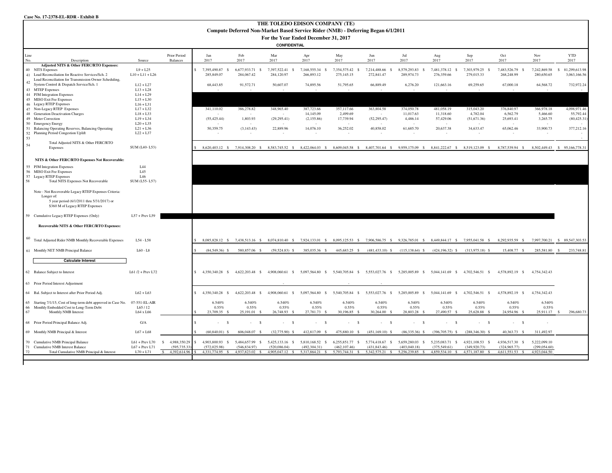|                     | THE TOLEDO EDISON COMPANY (TE)<br>Compute Deferred Non-Market Based Service Rider (NMB) - Deferring Began 6/1/2011 |                            |                          |                              |                                                 |                              |                                      |                                                 |                          |                                                                                                 |                                 |                        |                              |                        |                            |
|---------------------|--------------------------------------------------------------------------------------------------------------------|----------------------------|--------------------------|------------------------------|-------------------------------------------------|------------------------------|--------------------------------------|-------------------------------------------------|--------------------------|-------------------------------------------------------------------------------------------------|---------------------------------|------------------------|------------------------------|------------------------|----------------------------|
|                     |                                                                                                                    |                            |                          |                              |                                                 |                              |                                      |                                                 |                          |                                                                                                 |                                 |                        |                              |                        |                            |
|                     |                                                                                                                    |                            |                          |                              |                                                 |                              | For the Year Ended December 31, 2017 |                                                 |                          |                                                                                                 |                                 |                        |                              |                        |                            |
| <b>CONFIDENTIAL</b> |                                                                                                                    |                            |                          |                              |                                                 |                              |                                      |                                                 |                          |                                                                                                 |                                 |                        |                              |                        |                            |
| Line<br>No.         | Description                                                                                                        | Source                     | Prior Period<br>Balances | Jan<br>2017                  | Feb<br>2017                                     | Mar<br>2017                  | Apr<br>2017                          | May<br>2017                                     | Jun<br>2017              | Jul<br>2017                                                                                     | Aug<br>2017                     | Sep<br>2017            | Oct<br>2017                  | Nov<br>2017            | <b>YTD</b><br>2017         |
|                     | Adjusted NITS & Other FERC/RTO Expenses:<br>40 NITS Expenses                                                       | $L9 + L25$                 |                          | 7,395,490.87<br>- S          | 6,677,933.71 \$                                 | 7,397,522.41 \$              | 7,168,555.34<br>$\mathbf{s}$         | 7,354,575.42 \$                                 | 7,214,488.66<br><b>S</b> | 8,579,293.83<br>-S                                                                              | 7,481,378.12 \$                 | 7,303,979.25<br>- \$   | 7,483,526.79<br>$\mathbf{s}$ | 7,242,869.58           | 81,299,613.98<br>-S        |
|                     | 41 Load Reconciliation for Reactive Services/Sch. 2<br>Load Reconciliation for Transmission Owner Scheduling,      | $L10 + L11 + L26$          |                          | 285,849.07                   | 284,067.42                                      | 284,120.97                   | 266,893.12                           | 275,145.15                                      | 272,841.47               | 289,974.73                                                                                      | 276,359.66                      | 279,015.33             | 268,248.99                   | 280,650.65             | 3,063,166.56               |
| 42                  | System Control & Dispatch Service/Sch. 1<br>43 MTEP Expenses                                                       | $L12 + L27$<br>$L13 + L28$ |                          | 68,443.85                    | 91,572.71                                       | 50,607.07                    | 74,895.56                            | 51,795.65                                       | 66,889.49                | 6,276.20                                                                                        | 121,663.16                      | 69,259.65              | 67,000.18                    | 64,568.72              | 732,972.24                 |
|                     | 44 PJM Integration Expenses                                                                                        | $L14 + L29$                |                          |                              |                                                 |                              |                                      |                                                 |                          |                                                                                                 |                                 |                        |                              |                        |                            |
|                     | 45 MISO Exit Fee Expenses                                                                                          | $L15 + L30$                |                          |                              |                                                 |                              |                                      |                                                 |                          |                                                                                                 |                                 |                        |                              |                        |                            |
|                     | 46 Legacy RTEP Expenses                                                                                            | $L16 + L31$                |                          |                              |                                                 |                              |                                      |                                                 |                          |                                                                                                 |                                 |                        |                              |                        |                            |
|                     | 47 Non-Legacy RTEP Expenses<br>48 Generation Deactivation Charges                                                  | $L17 + L32$<br>$L18 + L33$ |                          | 341,110.02                   | 386,278.82                                      | 348,965.40                   | 387,723.66<br>14,145.09              | 357,117.66<br>2.499.69                          | 363,804.58               | 374,050.78<br>11,017.63                                                                         | 481,058.19<br>11,318.60         | 315,043.20<br>4,782.04 | 376,840.97<br>6,562.79       | 366,978.18<br>5,466.60 | 4,098,971.46<br>55,792.44  |
|                     | 49 Meter Correction                                                                                                | $L19 + L34$                |                          | (55, 425.44)                 | $\sim$<br>1,803.93                              | (29, 295.41)                 | (2,155.86)                           | 17,739.94                                       | . .<br>(52, 295.47)      | 4,486.14                                                                                        | 57,429.06                       | (51,671.36)            | 25,693.41                    | 3,265.75               | (80, 425.31)               |
|                     | 50 Emergency Energy                                                                                                | $L20 + L35$                |                          |                              |                                                 |                              |                                      |                                                 |                          |                                                                                                 |                                 |                        |                              |                        |                            |
|                     | 51 Balancing Operating Reserves, Balancing Operating                                                               | $L21 + L36$                |                          | 50,359.75                    | (3, 143.43)                                     | 22,889.96                    | 14,076.10                            | 36,252.02                                       | 40,858.02                | 61,685.70                                                                                       | 20,637.38                       | 34,633.47              | 65,062.46                    | 33,900.73              | 377,212.16                 |
| 53                  | 52 Planning Period Congestion Uplift                                                                               | $L22 + L37$                |                          |                              |                                                 | - 1                          |                                      |                                                 |                          |                                                                                                 |                                 | ÷.                     |                              |                        |                            |
| 54                  | Total Adjusted NITS & Other FERC/RTO<br>Expenses                                                                   | SUM (L40-L53)              |                          |                              | 8.620.403.12 \$ 7.914.308.20 \$ 8.583.745.52 \$ |                              |                                      |                                                 |                          | 8,422,064.03 \$ 8,609,045.58 \$ 8,407,701.64 \$ 9,959,175.09 \$ 8,841,222.67 \$ 8,519,123.09 \$ |                                 |                        | 8.787.539.94 \$              | 8.502.449.43           | \$95,166,778.31            |
|                     |                                                                                                                    |                            |                          |                              |                                                 |                              |                                      |                                                 |                          |                                                                                                 |                                 |                        |                              |                        |                            |
|                     | NITS & Other FERC/RTO Expenses Not Recoverable:                                                                    |                            |                          |                              |                                                 |                              |                                      |                                                 |                          |                                                                                                 |                                 |                        |                              |                        |                            |
|                     | 55 PJM Integration Expenses                                                                                        | L44                        |                          |                              |                                                 |                              |                                      |                                                 |                          |                                                                                                 |                                 |                        |                              |                        |                            |
|                     | 56 MISO Exit Fee Expenses                                                                                          | L45                        |                          |                              |                                                 |                              |                                      |                                                 |                          |                                                                                                 |                                 |                        |                              |                        |                            |
|                     | 57 Legacy RTEP Expenses                                                                                            | L46<br>SUM (L55-L57)       |                          |                              |                                                 |                              |                                      |                                                 |                          |                                                                                                 |                                 |                        |                              |                        |                            |
| 58                  | <b>Total NITS Expenses Not Recoverable</b>                                                                         |                            |                          |                              |                                                 |                              |                                      |                                                 |                          |                                                                                                 |                                 |                        |                              |                        |                            |
|                     | Note - Not Recoverable Legacy RTEP Expenses Criteria:                                                              |                            |                          |                              |                                                 |                              |                                      |                                                 |                          |                                                                                                 |                                 |                        |                              |                        |                            |
|                     | Longer of:                                                                                                         |                            |                          |                              |                                                 |                              |                                      |                                                 |                          |                                                                                                 |                                 |                        |                              |                        |                            |
|                     | 5 year period (6/1/2011 thru 5/31/2017) or                                                                         |                            |                          |                              |                                                 |                              |                                      |                                                 |                          |                                                                                                 |                                 |                        |                              |                        |                            |
|                     | \$360 M of Legacy RTEP Expenses                                                                                    |                            |                          |                              |                                                 |                              |                                      |                                                 |                          |                                                                                                 |                                 |                        |                              |                        |                            |
|                     | 59 Cumulative Legacy RTEP Expenses (Only)                                                                          | $L57 + Prev L59$           |                          |                              |                                                 |                              |                                      |                                                 |                          |                                                                                                 |                                 |                        |                              |                        |                            |
|                     | Recoverable NITS & Other FERC/RTO Expenses:                                                                        |                            |                          |                              |                                                 |                              |                                      |                                                 |                          |                                                                                                 |                                 |                        |                              |                        |                            |
|                     |                                                                                                                    |                            |                          |                              |                                                 |                              |                                      |                                                 |                          |                                                                                                 |                                 |                        |                              |                        |                            |
| 60                  | Total Adjusted Rider NMB Monthly Recoverable Expenses                                                              | L54 - L58                  |                          | 8,085,828.12 \$              | 7,438,513.16 \$                                 | 8,074,810.40 \$              |                                      | 7,924,133.01 \$ 8,095,125.53 \$ 7,906,586.75 \$ |                          |                                                                                                 | 9,326,785.01 \$ 8,449,844.17 \$ | 7,955,041.58 \$        | 8,292,935.59 \$              | 7,997,700.21           | \$ 89,547,303.53           |
|                     | 61 Monthly NET NMB Principal Balance                                                                               | $L60 - L8$                 |                          | $(84,549.36)$ \$             | 580,857.06 \$                                   | $(59,524.83)$ \$             | 385,035.36 \$                        | 445,683.25 \$                                   | $(481, 433.10)$ \$       | $(115, 138.64)$ \$                                                                              | $(424, 196.32)$ \$              | $(313.975.18)$ \$      | 15,408.77 \$                 | 285,581.80             | 233,748.81<br>$\mathbf{s}$ |
|                     | <b>Calculate Interest</b>                                                                                          |                            |                          |                              |                                                 |                              |                                      |                                                 |                          |                                                                                                 |                                 |                        |                              |                        |                            |
|                     |                                                                                                                    |                            |                          |                              |                                                 |                              |                                      |                                                 |                          |                                                                                                 |                                 |                        |                              |                        |                            |
|                     | 62 Balance Subject to Interest                                                                                     | L61 /2 + Prev L72          |                          | 4.350.340.28 \$              | 4.622.203.48 \$                                 | 4.908.060.61 \$              | 5.097.564.80<br>$\mathbf{s}$         | 5,540,705.84 \$                                 | 5,553,027.76 \$          |                                                                                                 | 5.285.005.89 \$ 5.044.141.69 \$ | 4.702.546.51<br>s.     | 4.578.892.19 \$              | 4,754,342.43           |                            |
|                     | 63 Prior Period Interest Adjustment                                                                                |                            |                          |                              |                                                 |                              |                                      |                                                 |                          |                                                                                                 |                                 |                        |                              |                        |                            |
|                     | 64 Bal. Subject to Interest after Prior Period Adj.                                                                | ${\rm L}62 + {\rm L}63$    |                          | 4,350,340.28<br>- S          | 4,622,203.48 \$                                 | 4,908,060.61<br>$\mathbf{s}$ | 5,097,564.80<br>-S                   | 5,540,705.84<br>- S                             | 5,553,027.76 \$          | 5,285,005.89<br>S.                                                                              | 5,044,141.69<br>-S              | 4,702,546.51<br>-S     | 4,578,892.19<br><b>S</b>     | 4,754,342.43           |                            |
|                     | 65 Starting 7/1/15, Cost of long-term debt approved in Case No.                                                    | 07-551-EL-AIR              |                          | 6.540%                       | 6.540%                                          | 6.540%                       | 6.540%                               | 6.540%                                          | 6.540%                   | 6.540%                                                                                          | 6.540%                          | 6.540%                 | 6.540%                       | 6.540%                 |                            |
| 66                  | Monthly Embedded Cost to Long-Term Debt                                                                            | L65 / 12                   |                          | 0.55%                        | 0.55%                                           | 0.55%                        | 0.55%                                | 0.55%                                           | 0.55%                    | 0.55%                                                                                           | 0.55%                           | 0.55%                  | 0.55%                        | 0.55%                  |                            |
| 67                  | Monthly NMB Interest                                                                                               | L64 x L66                  |                          | 23.709.35 S                  | 25.191.01                                       | 26,748.93 \$                 | 27,781.73 \$                         | 30,196.85 \$                                    | 30,264,00                | 28,803.28                                                                                       | 27.490.57                       | 25.628.88              | 24.954.96 \$                 | 25.911.17              | 296,680.73<br>s            |
|                     | 68 Prior Period Principal Balance Adj.                                                                             | G/A                        |                          | $\mathbf{\hat{s}}$<br>$\sim$ | - S<br>$\sim$                                   | $-$ S                        | <b>Service</b><br>- 8                | $\sim$<br>$\mathcal{S}$                         | $ s$                     | $\mathbf{s}$<br><b>Service</b>                                                                  | $\sim$<br>- \$                  | $ s$                   | $\sim$<br>- S                | ×.                     |                            |
|                     | 69 Monthly NMB Principal & Interest                                                                                | $L67 + L68$                |                          | $(60, 840.01)$ \$            | 606,048.07 \$                                   | $(32,775.90)$ \$             | 412,817.09 \$                        | 475,880.10 \$                                   | $(451, 169.10)$ \$       | $(86,335.36)$ \$                                                                                | $(396,705.75)$ \$               | $(288.346.30)$ \$      | 40,363,73 \$                 | 311,492.97             |                            |
|                     | 70 Cumulative NMB Principal Balance                                                                                | $L61 + Prev L70$           | 4,988,350.29             | 4,903,800.93<br><b>S</b>     | 5,484,657.99<br>-S                              | 5,425,133.16<br>-S           | 5,810,168.52<br>$\mathbf{s}$         | 6,255,851.77 \$                                 | 5,774,418.67<br>- S      | 5,659,280.03<br>- 8                                                                             | 5,235,083.71<br>- S             | 4,921,108.53<br>- \$   | 4,936,517.30 \$              | 5,222,099.10           |                            |
|                     | 71 Cumulative NMB Interest Balance                                                                                 | $L67 + Prev L71$           | (595, 735, 33)           | (572.025.98)                 | (546, 834, 97)                                  | (520.086.04)                 | (492.304.31)                         | (462.107.46)                                    | (431.843.46)             | (403.040.18)                                                                                    | (375.549.61)                    | (349.920.73)           | (324.965.77)                 | (299.054.60)           |                            |
| 72                  | Total Cumulative NMB Principal & Interest                                                                          | $L70 + L71$                | 4,392,614.96<br>s.       | 4.331.774.95 \$              | 4,937,823.02 \$                                 | 4,905,047.12 \$              | 5,317,864.21 \$                      | 5,793,744.31 \$                                 | 5,342,575.21 \$          | 5,256,239.85 \$                                                                                 | 4,859,534.10 \$                 | 4,571,187.80 \$        | 4,611,551.53 \$              | 4,923,044.50           |                            |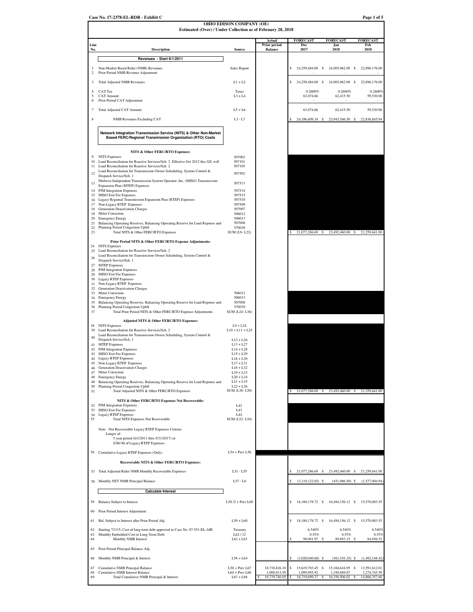|                | Estimated (Over) / Under Collection as of February 28, 2018                                                                           | OHIO EDISON COMPANY (OE)        |                               |                               |                                               |                               |
|----------------|---------------------------------------------------------------------------------------------------------------------------------------|---------------------------------|-------------------------------|-------------------------------|-----------------------------------------------|-------------------------------|
|                |                                                                                                                                       |                                 |                               |                               |                                               |                               |
| Line           |                                                                                                                                       |                                 | Actual<br><b>Prior period</b> | <b>FORECAST</b><br>Dec        | <b>FORECAST</b><br>Jan                        | <b>FORECAST</b><br>Feb        |
| No.            | <b>Description</b>                                                                                                                    | Source                          | <b>Balance</b>                | 2017                          | 2018                                          | 2018                          |
|                | Revenues - Start 6/1/2011                                                                                                             |                                 |                               |                               |                                               |                               |
| $\overline{c}$ | Non-Market Based Rider (NMB) Revenues<br>Prior Period NMB Revenue Adjustment                                                          | Sales Report                    |                               | \$<br>24,259,484.00 \$        | 24,005,962.00 \$                              | 22,896,176.00                 |
| 3              | <b>Total Adjusted NMB Revenues</b>                                                                                                    | $L1 + L2$                       |                               | 24,259,484.00 \$<br>\$        | 24,005,962.00 \$                              | 22,896,176.00                 |
| $\overline{4}$ | <b>CAT</b> Tax                                                                                                                        | Taxes                           |                               | 0.2600%                       | 0.2600%                                       | 0.2600%                       |
| 5<br>6         | <b>CAT Amount</b><br>Prior Period CAT Adjustment                                                                                      | L3 x L4                         |                               | 63,074.66                     | 62,415.50                                     | 59,530.06                     |
| $\tau$         | <b>Total Adjusted CAT Amount</b>                                                                                                      | $L5+L6$                         |                               | 63,074.66                     | 62,415.50                                     | 59,530.06                     |
| 8              | NMB Revenues Excluding CAT                                                                                                            | $L3 - L7$                       |                               | 24,196,409.34 \$              | 23,943,546.50 \$                              | 22,836,645.94                 |
|                | Network Integration Transmission Service (NITS) & Other Non-Market<br>Based FERC/Regional Transmission Organization (RTO) Costs       |                                 |                               |                               |                                               |                               |
|                |                                                                                                                                       |                                 |                               |                               |                                               |                               |
| 9              | NITS & Other FERC/RTO Expenses:<br><b>NITS</b> Expenses                                                                               | 507003                          |                               |                               |                                               |                               |
| 10<br>11       | Load Reconciliation for Reactive Services/Sch. 2 Effective Oct 2012 this G/L will<br>Load Reconciliation for Reactive Services/Sch. 2 | 507101<br>507105                |                               |                               |                                               |                               |
| 12             | Load Reconciliation for Transmission Owner Scheduling, System Control &<br>Dispatch Service/Sch. 1                                    | 507502                          |                               |                               |                                               |                               |
| 13             | Midwest Independent Transmission System Operator, Inc. (MISO) Transmission<br>Expansion Plan (MTEP) Expenses                          | 507513                          |                               |                               |                                               |                               |
| 14             | PJM Integration Expenses                                                                                                              | 507514                          |                               |                               |                                               |                               |
| 16             | 15 MISO Exit Fee Expenses<br>Legacy Regional Transmission Expansion Plan (RTEP) Expenses                                              | 507515<br>507510                |                               |                               |                                               |                               |
| 17<br>18       | Non-Legacy RTEP Expenses<br>Generation Deactivation Charges                                                                           | 507509<br>507007                |                               |                               |                                               |                               |
| 19<br>20       | Meter Correction                                                                                                                      | 506012<br>506013                |                               |                               |                                               |                               |
| 21             | <b>Emergency Energy</b><br>Balancing Operating Reserves, Balancing Operating Reserve for Load Rsponse and                             | 507008                          |                               |                               |                                               |                               |
| 22<br>23       | Planning Period Congestion Uplift<br>Total NITS & Other FERC/RTO Expenses                                                             | 570039<br>SUM (L9-L22)          |                               |                               | 21,077,286.69 \$23,492,460.00 \$21,259,641.00 |                               |
|                | Prior Period NITS & Other FERC/RTO Expense Adjustments:                                                                               |                                 |                               |                               |                                               |                               |
| 24<br>25       | <b>NITS</b> Expenses<br>Load Reconciliation for Reactive Services/Sch. 2                                                              |                                 |                               |                               |                                               |                               |
| 26             | Load Reconciliation for Transmission Owner Scheduling, System Control &<br>Dispatch Service/Sch. 1                                    |                                 |                               |                               |                                               |                               |
| 27             | <b>MTEP</b> Expenses                                                                                                                  |                                 |                               |                               |                                               |                               |
| 28<br>29       | PJM Integration Expenses<br>MISO Exit Fee Expenses                                                                                    |                                 |                               |                               |                                               |                               |
| 30<br>31       | <b>Legacy RTEP Expenses</b><br>Non-Legacy RTEP Expenses                                                                               |                                 |                               |                               |                                               |                               |
| 32<br>33       | Generation Deactivation Charges<br>Meter Correction                                                                                   | 506012                          |                               |                               |                                               |                               |
| 34             | <b>Emergency Energy</b>                                                                                                               | 506013                          |                               |                               |                                               |                               |
| 35<br>36       | Balancing Operating Reserves, Balancing Operating Reserve for Load Rsponse and<br>Planning Period Congestion Uplift                   | 507008<br>570039                |                               |                               |                                               |                               |
| 37             | Total Prior Period NITS & Other FERC/RTO Expense Adjustments                                                                          | SUM (L24-L36)                   |                               |                               |                                               |                               |
| 38             | Adjusted NITS & Other FERC/RTO Expenses:<br><b>NITS</b> Expenses                                                                      | $L9 + L24$                      |                               |                               |                                               |                               |
| 39             | Load Reconciliation for Reactive Services/Sch. 2                                                                                      | $L10 + L11 + L25$               |                               |                               |                                               |                               |
| 40             | Load Reconciliation for Transmission Owner Scheduling, System Control &<br>Dispatch Service/Sch. 1                                    | $L12 + L26$                     |                               |                               |                                               |                               |
| 42             | 41 MTEP Expenses<br>PJM Integration Expenses                                                                                          | $L13 + L27$<br>$L14 + L28$      |                               |                               |                                               |                               |
| 43<br>44       | MISO Exit Fee Expenses                                                                                                                | $L15 + L29$<br>$L16 + L30$      |                               |                               |                                               |                               |
| 45             | Legacy RTEP Expenses<br>Non-Legacy RTEP Expenses                                                                                      | $L17 + L31$                     |                               |                               |                                               |                               |
| 46<br>47       | Generation Deactivation Charges<br>Meter Correction                                                                                   | $L18 + L32$<br>$L19 + L33$      |                               |                               |                                               |                               |
| 48<br>49       | <b>Emergency Energy</b><br>Balancing Operating Reserves, Balancing Operating Reserve for Load Rsponse and                             | $L20 + L34$<br>$L21 + L35$      |                               |                               |                                               |                               |
| 50<br>51       | Planning Period Congestion Uplift<br>Total Adjusted NITS & Other FERC/RTO Expenses                                                    | $L22 + L36$<br>SUM (L38-L50)    |                               |                               | 21,077,286.69 \$23,492,460.00 \$21,259,641.00 |                               |
|                |                                                                                                                                       |                                 |                               |                               |                                               |                               |
| 52             | NITS & Other FERC/RTO Expenses Not Recoverable:<br>PJM Integration Expenses                                                           | L42                             |                               |                               |                                               |                               |
| 53<br>54       | <b>MISO Exit Fee Expenses</b><br><b>Legacy RTEP Expenses</b>                                                                          | L43<br>L44                      |                               |                               |                                               |                               |
| 55             | <b>Total NITS Expenses Not Recoverable</b>                                                                                            | SUM (L52-L54)                   |                               |                               |                                               |                               |
|                | Note - Not Recoverable Legacy RTEP Expenses Criteria:<br>Longer of:                                                                   |                                 |                               |                               |                                               |                               |
|                | 5 year period (6/1/2011 thru 5/31/2017) or                                                                                            |                                 |                               |                               |                                               |                               |
|                | \$360 M of Legacy RTEP Expenses                                                                                                       |                                 |                               |                               |                                               |                               |
| 56             | Cumulative Legacy RTEP Expenses (Only)                                                                                                | $L54 + Prev L56$                |                               |                               |                                               |                               |
|                | Recoverable NITS & Other FERC/RTO Expenses:                                                                                           |                                 |                               |                               |                                               |                               |
|                | 57 Total Adjusted Rider NMB Monthly Recoverable Expenses                                                                              | L51 - L55                       |                               | 21,077,286.69                 | 23,492,460.00 \$<br>S                         | 21,259,641.00                 |
|                | 58 Monthly NET NMB Principal Balance                                                                                                  | $L57 - L8$                      |                               | $(3,119,122.65)$ \$           | $(451,086.50)$ \$                             | (1,577,004.94)                |
|                | <b>Calculate Interest</b>                                                                                                             |                                 |                               |                               |                                               |                               |
| 59             | <b>Balance Subject to Interest</b>                                                                                                    | $L58/2 + Prev L69$              |                               | \$<br>18,180,178.72 \$        | 16,494,156.12 \$                              | 15,570,003.55                 |
| 60             | Prior Period Interest Adjustment                                                                                                      |                                 |                               |                               |                                               |                               |
|                |                                                                                                                                       |                                 |                               |                               |                                               |                               |
| 61             | Bal. Subject to Interest after Prior Period Adj.                                                                                      | $L59 + L60$                     |                               | \$<br>18,180,178.72 \$        | 16,494,156.12 \$                              | 15,570,003.55                 |
| 62<br>63       | Starting 7/1/15, Cost of long-term debt approved in Case No. 07-551-EL-AIR<br>Monthly Embedded Cost to Long-Term Debt                 | Treasury<br>L62 / 12            |                               | 6.540%<br>0.55%               | 6.540%<br>0.55%                               | 6.540%<br>0.55%               |
| 64             | Monthly NMB Interest                                                                                                                  | L61 x L63                       |                               | 99,081.97                     | 89,893.15                                     | 84,856.52                     |
| 65             | Prior Period Principal Balance Adj.                                                                                                   |                                 |                               |                               |                                               |                               |
| 66             | Monthly NMB Principal & Interest                                                                                                      | $L58 + L64$                     |                               | $(3,020,040.68)$ \$           | $(361, 193.35)$ \$                            | (1,492,148.42)                |
| 67             | Cumulative NMB Principal Balance                                                                                                      | $L58 + Prev L67$                | 18,738,826.10                 | S<br>15,619,703.45            | $\mathbf{s}$<br>15,168,616.95 \$              | 13,591,612.01                 |
| 68<br>69       | <b>Cumulative NMB Interest Balance</b><br>Total Cumulative NMB Principal & Interest                                                   | $L64 + Prev L68$<br>$L67 + L68$ | 1,000,913.95<br>19,739,740.05 | 1,099,995.92<br>16,719,699.37 | 1,189,889.07<br>16,358,506.02                 | 1,274,745.59<br>14,866,357.60 |
|                |                                                                                                                                       |                                 |                               |                               |                                               |                               |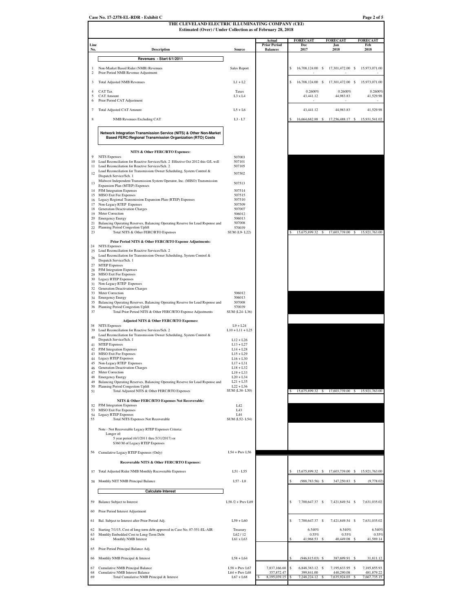|                      | Estimated (Over) / Under Collection as of February 28, 2018                                                                                 |                                      |                               |                                 |                                   |                                                            |
|----------------------|---------------------------------------------------------------------------------------------------------------------------------------------|--------------------------------------|-------------------------------|---------------------------------|-----------------------------------|------------------------------------------------------------|
| Line                 |                                                                                                                                             |                                      | Actual<br><b>Prior Period</b> | <b>FORECAST</b><br>Dec          | <b>FORECAST</b><br>Jan            | <b>FORECAST</b><br>Feb                                     |
| No.                  | <b>Description</b>                                                                                                                          | Source                               | <b>Balances</b>               | 2017                            | 2018                              | 2018                                                       |
|                      | Revenues - Start 6/1/2011                                                                                                                   |                                      |                               |                                 |                                   |                                                            |
| -1<br>$\overline{c}$ | Non-Market Based Rider (NMB) Revenues<br>Prior Period NMB Revenue Adjustment                                                                | Sales Report                         |                               | 16,708,124.00 \$<br>\$          | 17,301,472.00 \$                  | 15,973,071.00                                              |
| 3                    | <b>Total Adjusted NMB Revenues</b>                                                                                                          | $L1 + L2$                            |                               | 16,708,124.00 \$<br>\$          | 17,301,472.00 \$                  | 15,973,071.00                                              |
| $\overline{4}$       | CAT Tax                                                                                                                                     | <b>Taxes</b>                         |                               | 0.2600%                         | 0.2600%                           | 0.2600%                                                    |
| 5                    | <b>CAT Amount</b>                                                                                                                           | L3 x L4                              |                               | 43,441.12                       | 44,983.83                         | 41,529.98                                                  |
| 6                    | Prior Period CAT Adjustment                                                                                                                 |                                      |                               |                                 |                                   |                                                            |
| $\overline{7}$       | Total Adjusted CAT Amount                                                                                                                   | $L5+L6$                              |                               | 43,441.12                       | 44,983.83                         | 41,529.98                                                  |
| 8                    | <b>NMB</b> Revenues Excluding CAT                                                                                                           | $L3 - L7$                            |                               | 16.664.682.88 \$                | 17,256,488.17 \$                  | 15,931,541.02                                              |
|                      | Network Integration Transmission Service (NITS) & Other Non-Market<br>Based FERC/Regional Transmission Organization (RTO) Costs             |                                      |                               |                                 |                                   |                                                            |
|                      | NITS & Other FERC/RTO Expenses:                                                                                                             |                                      |                               |                                 |                                   |                                                            |
| 9                    | <b>NITS</b> Expenses                                                                                                                        | 507003                               |                               |                                 |                                   |                                                            |
|                      | 10 Load Reconciliation for Reactive Services/Sch. 2 Effective Oct 2012 this G/L will<br>11 Load Reconciliation for Reactive Services/Sch. 2 | 507101<br>507105                     |                               |                                 |                                   |                                                            |
| 12                   | Load Reconciliation for Transmission Owner Scheduling, System Control &<br>Dispatch Service/Sch. 1                                          | 507502                               |                               |                                 |                                   |                                                            |
| 13                   | Midwest Independent Transmission System Operator, Inc. (MISO) Transmission                                                                  | 507513                               |                               |                                 |                                   |                                                            |
|                      | Expansion Plan (MTEP) Expenses<br>14 PJM Integration Expenses                                                                               | 507514                               |                               |                                 |                                   |                                                            |
|                      | 15 MISO Exit Fee Expenses<br>16 Legacy Regional Transmission Expansion Plan (RTEP) Expenses                                                 | 507515<br>507510                     |                               |                                 |                                   |                                                            |
|                      | 17 Non-Legacy RTEP Expenses                                                                                                                 | 507509                               |                               |                                 |                                   |                                                            |
|                      | 18 Generation Deactivation Charges<br>19 Meter Correction                                                                                   | 507007<br>506012                     |                               |                                 |                                   |                                                            |
|                      | 20 Emergency Energy                                                                                                                         | 506013                               |                               |                                 |                                   |                                                            |
| 21<br>22             | Balancing Operating Reserves, Balancing Operating Reserve for Load Rsponse and<br>Planning Period Congestion Uplift                         | 507008<br>570039                     |                               |                                 |                                   |                                                            |
| 23                   | Total NITS & Other FERC/RTO Expenses                                                                                                        | SUM (L9-L22)                         |                               | 15,675,899.32                   | 17,603,739.00 \$<br>S             | 15,921,763.00                                              |
|                      | Prior Period NITS & Other FERC/RTO Expense Adjustments:                                                                                     |                                      |                               |                                 |                                   |                                                            |
|                      | 24 NITS Expenses<br>25 Load Reconciliation for Reactive Services/Sch. 2                                                                     |                                      |                               |                                 |                                   |                                                            |
| 26                   | Load Reconciliation for Transmission Owner Scheduling, System Control &<br>Dispatch Service/Sch. 1                                          |                                      |                               |                                 |                                   |                                                            |
|                      | 27 MTEP Expenses                                                                                                                            |                                      |                               |                                 |                                   |                                                            |
|                      | 28 PJM Integration Expenses<br>29 MISO Exit Fee Expenses                                                                                    |                                      |                               |                                 |                                   |                                                            |
|                      | 30 Legacy RTEP Expenses                                                                                                                     |                                      |                               |                                 |                                   |                                                            |
|                      | 31 Non-Legacy RTEP Expenses<br>32 Generation Deactivation Charges                                                                           |                                      |                               |                                 |                                   |                                                            |
|                      | 33 Meter Correction<br>34 Emergency Energy                                                                                                  | 506012<br>506013                     |                               |                                 |                                   |                                                            |
|                      | 35 Balancing Operating Reserves, Balancing Operating Reserve for Load Rsponse and                                                           | 507008                               |                               |                                 |                                   |                                                            |
| 37                   | 36 Planning Period Congestion Uplift<br>Total Prior Period NITS & Other FERC/RTO Expense Adjustments                                        | 570039<br>SUM (L24-L36)              |                               |                                 |                                   |                                                            |
|                      | Adjusted NITS & Other FERC/RTO Expenses:                                                                                                    |                                      |                               |                                 |                                   |                                                            |
|                      | 38 NITS Expenses                                                                                                                            | $L9 + L24$                           |                               |                                 |                                   |                                                            |
|                      | 39 Load Reconciliation for Reactive Services/Sch. 2<br>Load Reconciliation for Transmission Owner Scheduling, System Control &              | $L10 + L11 + L25$                    |                               |                                 |                                   |                                                            |
| 40                   | Dispatch Service/Sch. 1                                                                                                                     | $L12 + L26$                          |                               |                                 |                                   |                                                            |
|                      | 41 MTEP Expenses<br>42 PJM Integration Expenses                                                                                             | $L13 + L27$<br>$L14 + L28$           |                               |                                 |                                   |                                                            |
|                      | 43 MISO Exit Fee Expenses                                                                                                                   | $L15 + L29$                          |                               |                                 |                                   |                                                            |
|                      | 44 Legacy RTEP Expenses<br>45 Non-Legacy RTEP Expenses                                                                                      | $L16 + L30$<br>$L17 + L31$           |                               |                                 |                                   |                                                            |
| 46                   | <b>Generation Deactivation Charges</b><br>47 Meter Correction                                                                               | $L18 + L32$<br>$L19 + L33$           |                               |                                 |                                   |                                                            |
|                      | 48 Emergency Energy                                                                                                                         | $L20 + L34$                          |                               |                                 |                                   |                                                            |
| 49                   | Balancing Operating Reserves, Balancing Operating Reserve for Load Rsponse and<br>50 Planning Period Congestion Uplift                      | $L21 + L35$<br>$L22 + L36$           |                               |                                 |                                   |                                                            |
| 51                   | Total Adjusted NITS & Other FERC/RTO Expenses                                                                                               | SUM (L38-L50)                        |                               | 15,675,899.32 \$                | 17,603,739.00 \$                  | 15,921,763.00                                              |
|                      | NITS & Other FERC/RTO Expenses Not Recoverable:                                                                                             |                                      |                               |                                 |                                   |                                                            |
| 53                   | 52 PJM Integration Expenses<br>MISO Exit Fee Expenses                                                                                       | L42<br>L <sub>4</sub> 3              |                               |                                 |                                   |                                                            |
| 55                   | 54 Legacy RTEP Expenses<br><b>Total NITS Expenses Not Recoverable</b>                                                                       | <b>I</b> 44<br>SUM (L52-L54)         |                               |                                 |                                   |                                                            |
|                      |                                                                                                                                             |                                      |                               |                                 |                                   |                                                            |
|                      | Note - Not Recoverable Legacy RTEP Expenses Criteria:<br>Longer of:                                                                         |                                      |                               |                                 |                                   |                                                            |
|                      | 5 year period (6/1/2011 thru 5/31/2017) or<br>\$360 M of Legacy RTEP Expenses                                                               |                                      |                               |                                 |                                   |                                                            |
|                      |                                                                                                                                             |                                      |                               |                                 |                                   |                                                            |
|                      | 56 Cumulative Legacy RTEP Expenses (Only)                                                                                                   | $L54 + Prev L56$                     |                               |                                 |                                   |                                                            |
|                      | Recoverable NITS & Other FERC/RTO Expenses:                                                                                                 |                                      |                               |                                 |                                   |                                                            |
|                      | 57 Total Adjusted Rider NMB Monthly Recoverable Expenses                                                                                    | L51 - L55                            |                               | 15,675,899.32                   | S<br>17,603,739.00 \$             | 15,921,763.00                                              |
|                      | 58 Monthly NET NMB Principal Balance                                                                                                        | $L57 - L8$                           |                               | $(988, 783.56)$ \$              | 347,250.83 \$                     | (9,778.02)                                                 |
|                      | <b>Calculate Interest</b>                                                                                                                   |                                      |                               |                                 |                                   |                                                            |
|                      | 59 Balance Subject to Interest                                                                                                              | $L58/2 + Prev L69$                   |                               | \$<br>7,700,647.37 \$           | 7,421,849.54 \$                   | 7,631,035.02                                               |
| 60                   | Prior Period Interest Adjustment                                                                                                            |                                      |                               |                                 |                                   |                                                            |
|                      | 61 Bal. Subject to Interest after Prior Period Adj.                                                                                         | $L59 + L60$                          |                               | s<br>7,700,647.37 \$            | 7,421,849.54 \$                   | 7,631,035.02                                               |
|                      |                                                                                                                                             | Treasury                             |                               | 6.540%                          | 6.540%                            | 6.540%                                                     |
|                      |                                                                                                                                             |                                      |                               | 0.55%                           | 0.55%                             | 0.55%                                                      |
| 62<br>63             | Starting 7/1/15, Cost of long-term debt approved in Case No. 07-551-EL-AIR<br>Monthly Embedded Cost to Long-Term Debt                       | L62/12                               |                               |                                 |                                   |                                                            |
| 64                   | Monthly NMB Interest                                                                                                                        | L61 x L63                            |                               | 41,968.53                       | -S<br>40,449.08                   |                                                            |
|                      | 65 Prior Period Principal Balance Adj.                                                                                                      |                                      |                               |                                 |                                   |                                                            |
| 66                   | Monthly NMB Principal & Interest                                                                                                            | $L58 + L64$                          |                               | $(946, 815.03)$ \$              | 387,699.91                        | -S                                                         |
| 67<br>68             | Cumulative NMB Principal Balance<br><b>Cumulative NMB Interest Balance</b>                                                                  | $L58 + Prev L67$<br>$L64 + Prev L68$ | 7,837,166.68<br>357,872.47    | S<br>6,848,383.12<br>399,841.00 | - S<br>7,195,633.95<br>440,290.08 | 41,589.14<br>31,811.12<br>\$<br>7,185,855.93<br>481,879.22 |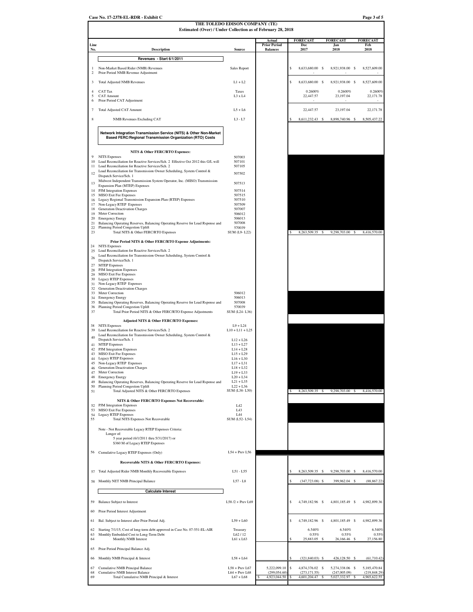|                | Estimated (Over) / Under Collection as of February 28, 2018                                                                           | THE TOLEDO EDISON COMPANY (TE)       |                                        |                                     |                                             |                               |
|----------------|---------------------------------------------------------------------------------------------------------------------------------------|--------------------------------------|----------------------------------------|-------------------------------------|---------------------------------------------|-------------------------------|
|                |                                                                                                                                       |                                      | Actual                                 | <b>FORECAST</b>                     | <b>FORECAST</b>                             | <b>FORECAST</b>               |
| Line<br>No.    | <b>Description</b>                                                                                                                    | <b>Source</b>                        | <b>Prior Period</b><br><b>Balances</b> | Dec<br>2017                         | Jan<br>2018                                 | Feb<br>2018                   |
|                | Revenues - Start 6/1/2011                                                                                                             |                                      |                                        |                                     |                                             |                               |
| -1<br>$\,2$    | Non-Market Based Rider (NMB) Revenues                                                                                                 | Sales Report                         |                                        | \$<br>8,633,680.00 \$               | 8,921,938.00 \$                             | 8,527,609.00                  |
| 3              | Prior Period NMB Revenue Adjustment<br><b>Total Adjusted NMB Revenues</b>                                                             | $L1 + L2$                            |                                        | 8,633,680.00 \$<br>\$               | 8,921,938.00 \$                             | 8,527,609.00                  |
| $\overline{4}$ | <b>CAT</b> Tax                                                                                                                        | <b>Taxes</b>                         |                                        | 0.2600%                             | 0.2600%                                     | 0.2600%                       |
| 5<br>6         | <b>CAT Amount</b><br>Prior Period CAT Adjustment                                                                                      | L3 x L4                              |                                        | 22,447.57                           | 23,197.04                                   | 22,171.78                     |
| $\overline{7}$ | <b>Total Adjusted CAT Amount</b>                                                                                                      | $L5+L6$                              |                                        | 22,447.57                           | 23,197.04                                   | 22,171.78                     |
| 8              | <b>NMB</b> Revenues Excluding CAT                                                                                                     | $L3 - L7$                            |                                        | 8,611,232.43                        | 8,898,740.96<br>s                           | \$<br>8,505,437.22            |
|                | Network Integration Transmission Service (NITS) & Other Non-Market<br>Based FERC/Regional Transmission Organization (RTO) Costs       |                                      |                                        |                                     |                                             |                               |
|                | NITS & Other FERC/RTO Expenses:                                                                                                       |                                      |                                        |                                     |                                             |                               |
| 9              | <b>NITS</b> Expenses                                                                                                                  | 507003                               |                                        |                                     |                                             |                               |
| 10<br>11       | Load Reconciliation for Reactive Services/Sch. 2 Effective Oct 2012 this G/L will<br>Load Reconciliation for Reactive Services/Sch. 2 | 507101<br>507105                     |                                        |                                     |                                             |                               |
| 12             | Load Reconciliation for Transmission Owner Scheduling, System Control &<br>Dispatch Service/Sch. 1                                    | 507502                               |                                        |                                     |                                             |                               |
| 13             | Midwest Independent Transmission System Operator, Inc. (MISO) Transmission<br>Expansion Plan (MTEP) Expenses                          | 507513                               |                                        |                                     |                                             |                               |
|                | 14 PJM Integration Expenses<br>15 MISO Exit Fee Expenses                                                                              | 507514<br>507515                     |                                        |                                     |                                             |                               |
|                | 16 Legacy Regional Transmission Expansion Plan (RTEP) Expenses                                                                        | 507510                               |                                        |                                     |                                             |                               |
| 18             | 17 Non-Legacy RTEP Expenses<br><b>Generation Deactivation Charges</b>                                                                 | 507509<br>507007                     |                                        |                                     |                                             |                               |
| 19<br>20       | Meter Correction<br><b>Emergency Energy</b>                                                                                           | 506012<br>506013                     |                                        |                                     |                                             |                               |
| 21<br>22       | Balancing Operating Reserves, Balancing Operating Reserve for Load Rsponse and<br>Planning Period Congestion Uplift                   | 507008<br>570039                     |                                        |                                     |                                             |                               |
| 23             | Total NITS & Other FERC/RTO Expenses                                                                                                  | SUM (L9-L22)                         |                                        | 8,263,509.35                        | - S<br>9,298,703.00 \$                      | 8,416,570.00                  |
|                | Prior Period NITS & Other FERC/RTO Expense Adjustments:<br>24 NITS Expenses                                                           |                                      |                                        |                                     |                                             |                               |
| 25             | Load Reconciliation for Reactive Services/Sch. 2<br>Load Reconciliation for Transmission Owner Scheduling, System Control &           |                                      |                                        |                                     |                                             |                               |
| 26             | Dispatch Service/Sch. 1                                                                                                               |                                      |                                        |                                     |                                             |                               |
|                | 27 MTEP Expenses<br>28 PJM Integration Expenses                                                                                       |                                      |                                        |                                     |                                             |                               |
|                | 29 MISO Exit Fee Expenses<br>30 Legacy RTEP Expenses                                                                                  |                                      |                                        |                                     |                                             |                               |
|                | 31 Non-Legacy RTEP Expenses<br>32 Generation Deactivation Charges                                                                     |                                      |                                        |                                     |                                             |                               |
|                | 33 Meter Correction                                                                                                                   | 506012                               |                                        |                                     |                                             |                               |
| 35             | 34 Emergency Energy<br>Balancing Operating Reserves, Balancing Operating Reserve for Load Rsponse and                                 | 506013<br>507008                     |                                        |                                     |                                             |                               |
| 37             | 36 Planning Period Congestion Uplift<br>Total Prior Period NITS & Other FERC/RTO Expense Adjustments                                  | 570039<br>SUM (L24-L36)              |                                        |                                     |                                             |                               |
|                | Adjusted NITS & Other FERC/RTO Expenses:                                                                                              |                                      |                                        |                                     |                                             |                               |
| 39             | 38 NITS Expenses<br>Load Reconciliation for Reactive Services/Sch. 2                                                                  | $L9 + L24$<br>$L10 + L11 + L25$      |                                        |                                     |                                             |                               |
| 40             | Load Reconciliation for Transmission Owner Scheduling, System Control &<br>Dispatch Service/Sch. 1                                    | $L12 + L26$                          |                                        |                                     |                                             |                               |
|                | 41 MTEP Expenses                                                                                                                      | $L13 + L27$                          |                                        |                                     |                                             |                               |
|                | 42 PJM Integration Expenses<br>43 MISO Exit Fee Expenses                                                                              | $L14 + L28$<br>$L15 + L29$           |                                        |                                     |                                             |                               |
| 44             | <b>Legacy RTEP Expenses</b><br>45 Non-Legacy RTEP Expenses                                                                            | $L16 + L30$<br>$L17 + L31$           |                                        |                                     |                                             |                               |
| 46<br>47       | Generation Deactivation Charges<br>Meter Correction                                                                                   | $L18 + L32$<br>$L19 + L33$           |                                        |                                     |                                             |                               |
| 48             | <b>Emergency Energy</b>                                                                                                               | $L20 + L34$                          |                                        |                                     |                                             |                               |
| 49<br>50       | Balancing Operating Reserves, Balancing Operating Reserve for Load Rsponse and<br>Planning Period Congestion Uplift                   | $L21 + L35$<br>$L22 + L36$           |                                        |                                     |                                             |                               |
| 51             | Total Adjusted NITS & Other FERC/RTO Expenses                                                                                         | SUM (L38-L50)                        |                                        | 8,263,509.35                        | 9,298,703.00 \$<br><b>s</b>                 | 8,416,570.00                  |
| 52             | NITS & Other FERC/RTO Expenses Not Recoverable:<br>PJM Integration Expenses                                                           | L42                                  |                                        |                                     |                                             |                               |
| 53<br>54       | MISO Exit Fee Expenses<br>Legacy RTEP Expenses                                                                                        | L <sub>4</sub> 3<br><b>I</b> 44      |                                        |                                     |                                             |                               |
| 55             | Total NITS Expenses Not Recoverable                                                                                                   | SUM (L52-L54)                        |                                        |                                     |                                             |                               |
|                | Note - Not Recoverable Legacy RTEP Expenses Criteria:                                                                                 |                                      |                                        |                                     |                                             |                               |
|                | Longer of:<br>5 year period (6/1/2011 thru 5/31/2017) or                                                                              |                                      |                                        |                                     |                                             |                               |
|                | \$360 M of Legacy RTEP Expenses                                                                                                       |                                      |                                        |                                     |                                             |                               |
|                | 56 Cumulative Legacy RTEP Expenses (Only)                                                                                             | $L54 + Prev L56$                     |                                        |                                     |                                             |                               |
|                | Recoverable NITS & Other FERC/RTO Expenses:                                                                                           |                                      |                                        |                                     |                                             |                               |
|                | 57 Total Adjusted Rider NMB Monthly Recoverable Expenses                                                                              | L51 - L55                            |                                        | 8,263,509.35                        | s<br>9,298,703.00                           | 8,416,570.00<br>\$            |
|                | 58 Monthly NET NMB Principal Balance                                                                                                  | $L57 - L8$                           |                                        | $(347, 723.08)$ \$                  | 399,962.04 \$                               | (88, 867.22)                  |
|                | <b>Calculate Interest</b>                                                                                                             |                                      |                                        |                                     |                                             |                               |
| 59             | Balance Subject to Interest                                                                                                           | L58 /2 + Prev L69                    |                                        | \$<br>4,749,182.96 \$               | 4,801,185.49 \$                             | 4,982,899.36                  |
| 60             | Prior Period Interest Adjustment                                                                                                      |                                      |                                        |                                     |                                             |                               |
| 61             | Bal. Subject to Interest after Prior Period Adj.                                                                                      | $L59 + L60$                          |                                        | \$<br>4,749,182.96 \$               | 4,801,185.49 \$                             | 4,982,899.36                  |
| 62             | Starting 7/1/15, Cost of long-term debt approved in Case No. 07-551-EL-AIR                                                            | Treasury                             |                                        | 6.540%                              | 6.540%                                      | 6.540%                        |
| 63<br>64       | Monthly Embedded Cost to Long-Term Debt<br>Monthly NMB Interest                                                                       | L62/12<br>L61 x L63                  |                                        | 0.55%<br>25,883.05                  | 0.55%<br>26,166.46                          | 0.55%<br>27,156.80<br>-S      |
| 65             | Prior Period Principal Balance Adj.                                                                                                   |                                      |                                        |                                     |                                             |                               |
| 66             | Monthly NMB Principal & Interest                                                                                                      | $L58 + L64$                          |                                        | $(321, 840.03)$ \$                  | 426,128.50                                  | (61,710.42)                   |
|                |                                                                                                                                       |                                      |                                        |                                     |                                             |                               |
| 67<br>68       | Cumulative NMB Principal Balance<br><b>Cumulative NMB Interest Balance</b>                                                            | $L58 + Prev L67$<br>$L64 + Prev L68$ | 5,222,099.10<br>(299, 054.60)          | \$<br>4,874,376.02<br>(273, 171.55) | - \$<br>5,274,338.06<br>- S<br>(247,005.09) | 5,185,470.84<br>(219, 848.29) |
| 69             | Total Cumulative NMB Principal & Interest                                                                                             | $L67 + L68$                          | 4,923,044.50                           | 4,601,204.47                        | 5,027,332.97                                | 4,965,622.55                  |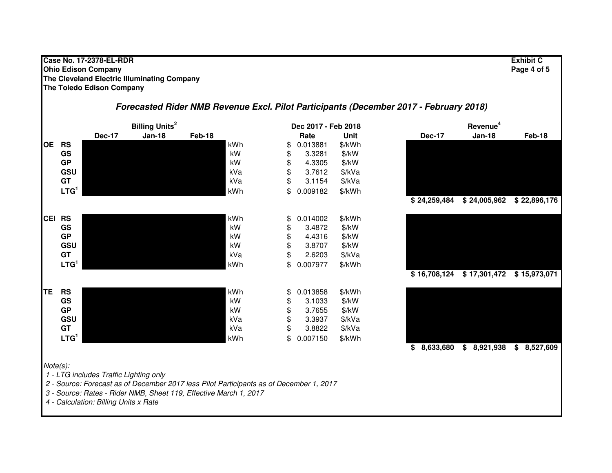#### **Case No. 17-2378-EL-RDR Exhibit C Ohio Edison Company Page 4 of 5 The Cleveland Electric Illuminating CompanyThe Toledo Edison Company**

## **Forecasted Rider NMB Revenue Excl. Pilot Participants (December 2017 - February 2018)**

|           | <b>Billing Units<sup>2</sup></b> |                                                                                 |                                                                                                                                                              | Dec 2017 - Feb 2018 |     | Revenue <sup>4</sup> |                   |                 |  |               |              |
|-----------|----------------------------------|---------------------------------------------------------------------------------|--------------------------------------------------------------------------------------------------------------------------------------------------------------|---------------------|-----|----------------------|-------------------|-----------------|--|---------------|--------------|
|           |                                  | <b>Dec-17</b>                                                                   | <b>Jan-18</b>                                                                                                                                                | Feb-18              |     | Rate                 | Unit              | <b>Dec-17</b>   |  | <b>Jan-18</b> | Feb-18       |
| <b>OE</b> | <b>RS</b>                        |                                                                                 |                                                                                                                                                              |                     | kWh | \$<br>0.013881       | \$/kWh            |                 |  |               |              |
|           | GS                               |                                                                                 |                                                                                                                                                              |                     | kW  | \$<br>3.3281         | $\frac{1}{2}$ /kW |                 |  |               |              |
|           | <b>GP</b>                        |                                                                                 |                                                                                                                                                              |                     | kW  | \$<br>4.3305         | \$/kW             |                 |  |               |              |
|           | GSU                              |                                                                                 |                                                                                                                                                              |                     | kVa | \$<br>3.7612         | \$/kVa            |                 |  |               |              |
|           | GT                               |                                                                                 |                                                                                                                                                              |                     | kVa | \$<br>3.1154         | \$/kVa            |                 |  |               |              |
|           | LTG <sup>1</sup>                 |                                                                                 |                                                                                                                                                              |                     | kWh | \$<br>0.009182       | \$/kWh            |                 |  |               |              |
|           |                                  |                                                                                 |                                                                                                                                                              |                     |     |                      |                   | \$24,259,484    |  | \$24,005,962  | \$22,896,176 |
|           | <b>CEI RS</b>                    |                                                                                 |                                                                                                                                                              |                     | kWh | \$<br>0.014002       | \$/kWh            |                 |  |               |              |
|           | GS                               |                                                                                 |                                                                                                                                                              |                     | kW  | \$<br>3.4872         | $\frac{1}{2}$ /kW |                 |  |               |              |
|           | <b>GP</b>                        |                                                                                 |                                                                                                                                                              |                     | kW  | \$<br>4.4316         | $\frac{1}{2}$ /kW |                 |  |               |              |
|           | GSU                              |                                                                                 |                                                                                                                                                              |                     | kW  | \$<br>3.8707         | \$/kW             |                 |  |               |              |
|           | GT                               |                                                                                 |                                                                                                                                                              |                     | kVa | \$<br>2.6203         | \$/kVa            |                 |  |               |              |
|           | LTG <sup>1</sup>                 |                                                                                 |                                                                                                                                                              |                     | kWh | \$<br>0.007977       | \$/kWh            |                 |  |               |              |
|           |                                  |                                                                                 |                                                                                                                                                              |                     |     |                      |                   | \$16,708,124    |  | \$17,301,472  | \$15,973,071 |
| TE        | <b>RS</b>                        |                                                                                 |                                                                                                                                                              |                     | kWh | \$<br>0.013858       | \$/kWh            |                 |  |               |              |
|           | GS                               |                                                                                 |                                                                                                                                                              |                     | kW  | \$<br>3.1033         | \$/kW             |                 |  |               |              |
|           | <b>GP</b>                        |                                                                                 |                                                                                                                                                              |                     | kW  | \$<br>3.7655         | \$/kW             |                 |  |               |              |
|           | GSU                              |                                                                                 |                                                                                                                                                              |                     | kVa | \$<br>3.3937         | \$/kVa            |                 |  |               |              |
|           | <b>GT</b>                        |                                                                                 |                                                                                                                                                              |                     | kVa | \$<br>3.8822         | \$/kVa            |                 |  |               |              |
|           | LTG <sup>1</sup>                 |                                                                                 |                                                                                                                                                              |                     | kWh | \$<br>0.007150       | \$/kWh            |                 |  |               |              |
|           |                                  |                                                                                 |                                                                                                                                                              |                     |     |                      |                   | 8,633,680<br>\$ |  | \$8,921,938   | \$8,527,609  |
|           | Note(s):                         | 1 - LTG includes Traffic Lighting only<br>4 - Calculation: Billing Units x Rate | 2 - Source: Forecast as of December 2017 less Pilot Participants as of December 1, 2017<br>3 - Source: Rates - Rider NMB, Sheet 119, Effective March 1, 2017 |                     |     |                      |                   |                 |  |               |              |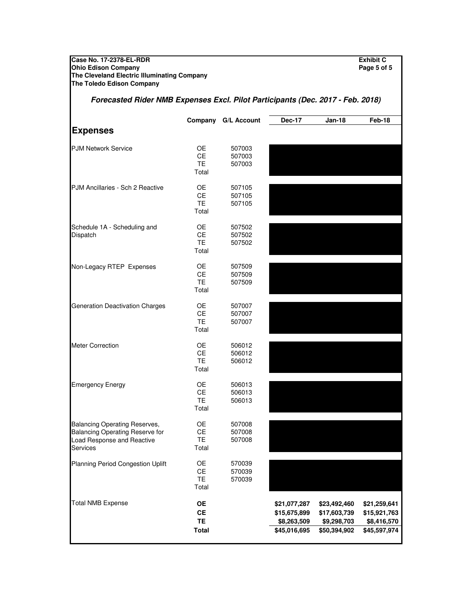**Case No. 17-2378-EL-RDR Exhibit C Ohio Edison Company Page 5 of 5 The Cleveland Electric Illuminating Company**

#### **The Toledo Edison Company** Company G/L Account Dec-17 Jan-18 Feb-18 **Expenses** OE 507003<br>CE 507003 507003 TE 507003 Total OE 507105<br>CE 507105 507105 TE 507105 Total OE 507502<br>CE 507502 507502 TE 507502 Total OE 507509<br>CE 507509 CE 507509<br>TE 507509 507509 Total OE 507007<br>CE 507007 507007 TE 507007 Total OE 506012<br>CE 506012 506012 TE 506012 Total OE 506013<br>CE 506013 CE 506013<br>TE 506013 506013 Total OE 507008 CE 507008 TE 507008 Total OE 570039<br>CE 570039 570039 TE 570039 Total **OE \$21,077,287 \$23,492,460 \$21,259,641 CE \$15,675,899 \$17,603,739 \$15,921,763 TE \$8,263,509 \$9,298,703 \$8,416,570 Total \$45,016,695 \$50,394,902 \$45,597,974** Schedule 1A - Scheduling and **Dispatch** Planning Period Congestion Uplift Total NMB Expense Non-Legacy RTEP Expenses Generation Deactivation Charges Meter Correction Emergency Energy Balancing Operating Reserves, Balancing Operating Reserve for Load Response and Reactive Services **Forecasted Rider NMB Expenses Excl. Pilot Participants (Dec. 2017 - Feb. 2018)** PJM Network Service PJM Ancillaries - Sch 2 Reactive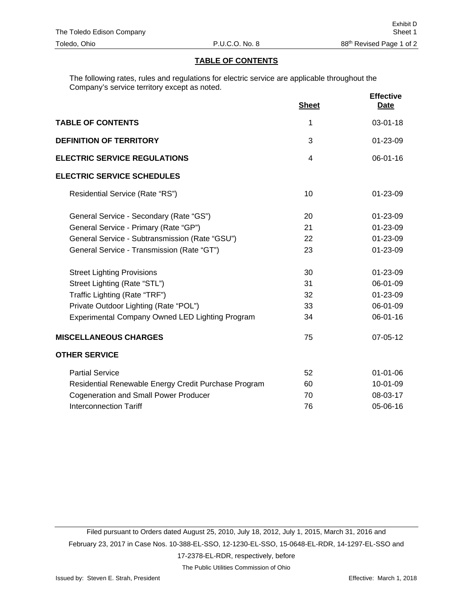## **TABLE OF CONTENTS**

The following rates, rules and regulations for electric service are applicable throughout the Company's service territory except as noted.

|                                                      | <b>Sheet</b> | <b>Effective</b><br><b>Date</b> |
|------------------------------------------------------|--------------|---------------------------------|
| <b>TABLE OF CONTENTS</b>                             | 1            | 03-01-18                        |
| <b>DEFINITION OF TERRITORY</b>                       | 3            | 01-23-09                        |
| <b>ELECTRIC SERVICE REGULATIONS</b>                  | 4            | $06 - 01 - 16$                  |
| <b>ELECTRIC SERVICE SCHEDULES</b>                    |              |                                 |
| Residential Service (Rate "RS")                      | 10           | 01-23-09                        |
| General Service - Secondary (Rate "GS")              | 20           | 01-23-09                        |
| General Service - Primary (Rate "GP")                | 21           | 01-23-09                        |
| General Service - Subtransmission (Rate "GSU")       | 22           | 01-23-09                        |
| General Service - Transmission (Rate "GT")           | 23           | 01-23-09                        |
| <b>Street Lighting Provisions</b>                    | 30           | 01-23-09                        |
| Street Lighting (Rate "STL")                         | 31           | 06-01-09                        |
| Traffic Lighting (Rate "TRF")                        | 32           | 01-23-09                        |
| Private Outdoor Lighting (Rate "POL")                | 33           | 06-01-09                        |
| Experimental Company Owned LED Lighting Program      | 34           | 06-01-16                        |
| <b>MISCELLANEOUS CHARGES</b>                         | 75           | 07-05-12                        |
| <b>OTHER SERVICE</b>                                 |              |                                 |
| <b>Partial Service</b>                               | 52           | $01 - 01 - 06$                  |
| Residential Renewable Energy Credit Purchase Program | 60           | 10-01-09                        |
| <b>Cogeneration and Small Power Producer</b>         | 70           | 08-03-17                        |
| <b>Interconnection Tariff</b>                        | 76           | 05-06-16                        |

Filed pursuant to Orders dated August 25, 2010, July 18, 2012, July 1, 2015, March 31, 2016 and February 23, 2017 in Case Nos. 10-388-EL-SSO, 12-1230-EL-SSO, 15-0648-EL-RDR, 14-1297-EL-SSO and 17-2378-EL-RDR, respectively, before

The Public Utilities Commission of Ohio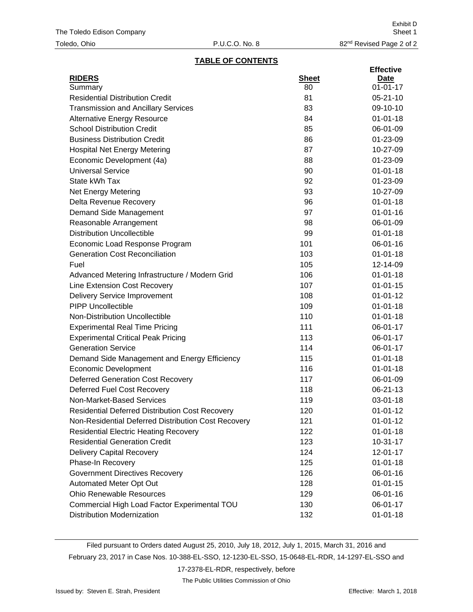## **TABLE OF CONTENTS**

|                                                        |              | <b>Effective</b> |
|--------------------------------------------------------|--------------|------------------|
| <b>RIDERS</b>                                          | <b>Sheet</b> | Date             |
| Summary                                                | 80           | $01 - 01 - 17$   |
| <b>Residential Distribution Credit</b>                 | 81           | $05 - 21 - 10$   |
| <b>Transmission and Ancillary Services</b>             | 83           | 09-10-10         |
| <b>Alternative Energy Resource</b>                     | 84           | $01 - 01 - 18$   |
| <b>School Distribution Credit</b>                      | 85           | 06-01-09         |
| <b>Business Distribution Credit</b>                    | 86           | 01-23-09         |
| <b>Hospital Net Energy Metering</b>                    | 87           | 10-27-09         |
| Economic Development (4a)                              | 88           | 01-23-09         |
| <b>Universal Service</b>                               | 90           | $01 - 01 - 18$   |
| State kWh Tax                                          | 92           | 01-23-09         |
| <b>Net Energy Metering</b>                             | 93           | 10-27-09         |
| Delta Revenue Recovery                                 | 96           | $01 - 01 - 18$   |
| Demand Side Management                                 | 97           | $01 - 01 - 16$   |
| Reasonable Arrangement                                 | 98           | 06-01-09         |
| <b>Distribution Uncollectible</b>                      | 99           | $01 - 01 - 18$   |
| Economic Load Response Program                         | 101          | 06-01-16         |
| <b>Generation Cost Reconciliation</b>                  | 103          | $01 - 01 - 18$   |
| Fuel                                                   | 105          | 12-14-09         |
| Advanced Metering Infrastructure / Modern Grid         | 106          | $01 - 01 - 18$   |
| Line Extension Cost Recovery                           | 107          | $01 - 01 - 15$   |
| <b>Delivery Service Improvement</b>                    | 108          | $01 - 01 - 12$   |
| <b>PIPP Uncollectible</b>                              | 109          | $01 - 01 - 18$   |
| Non-Distribution Uncollectible                         | 110          | $01 - 01 - 18$   |
| <b>Experimental Real Time Pricing</b>                  | 111          | 06-01-17         |
| <b>Experimental Critical Peak Pricing</b>              | 113          | 06-01-17         |
| <b>Generation Service</b>                              | 114          | 06-01-17         |
| Demand Side Management and Energy Efficiency           | 115          | $01 - 01 - 18$   |
| <b>Economic Development</b>                            | 116          | $01 - 01 - 18$   |
| <b>Deferred Generation Cost Recovery</b>               | 117          | 06-01-09         |
| Deferred Fuel Cost Recovery                            | 118          | 06-21-13         |
| Non-Market-Based Services                              | 119          | 03-01-18         |
| <b>Residential Deferred Distribution Cost Recovery</b> | 120          | $01 - 01 - 12$   |
| Non-Residential Deferred Distribution Cost Recovery    | 121          | $01 - 01 - 12$   |
| <b>Residential Electric Heating Recovery</b>           | 122          | $01 - 01 - 18$   |
| <b>Residential Generation Credit</b>                   | 123          | $10-31-17$       |
| <b>Delivery Capital Recovery</b>                       | 124          | $12 - 01 - 17$   |
| Phase-In Recovery                                      | 125          | $01 - 01 - 18$   |
| <b>Government Directives Recovery</b>                  | 126          | 06-01-16         |
| Automated Meter Opt Out                                | 128          | $01 - 01 - 15$   |
| <b>Ohio Renewable Resources</b>                        | 129          | 06-01-16         |
| Commercial High Load Factor Experimental TOU           | 130          | 06-01-17         |
| <b>Distribution Modernization</b>                      | 132          | $01 - 01 - 18$   |

Filed pursuant to Orders dated August 25, 2010, July 18, 2012, July 1, 2015, March 31, 2016 and February 23, 2017 in Case Nos. 10-388-EL-SSO, 12-1230-EL-SSO, 15-0648-EL-RDR, 14-1297-EL-SSO and

17-2378-EL-RDR, respectively, before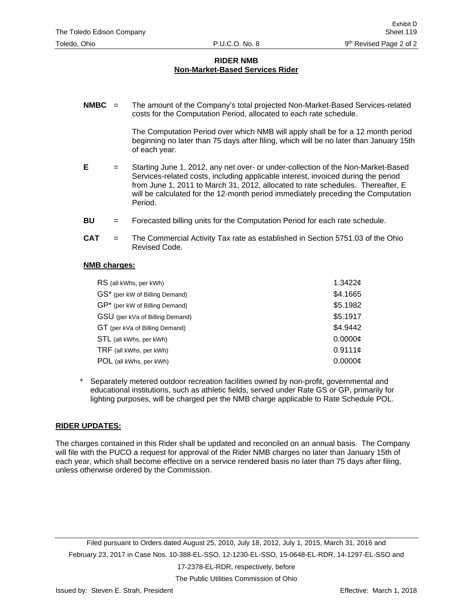## **RIDER NMB Non-Market-Based Services Rider**

**NMBC** = The amount of the Company's total projected Non-Market-Based Services-related costs for the Computation Period, allocated to each rate schedule.

> The Computation Period over which NMB will apply shall be for a 12 month period beginning no later than 75 days after filing, which will be no later than January 15th of each year.

- **E** = Starting June 1, 2012, any net over- or under-collection of the Non-Market-Based Services-related costs, including applicable interest, invoiced during the period from June 1, 2011 to March 31, 2012, allocated to rate schedules. Thereafter, E will be calculated for the 12-month period immediately preceding the Computation Period.
- **BU** = Forecasted billing units for the Computation Period for each rate schedule.
- **CAT** = The Commercial Activity Tax rate as established in Section 5751.03 of the Ohio Revised Code.

### **NMB charges:**

| RS (all kWhs, per kWh)          | 1.3422c       |
|---------------------------------|---------------|
| GS* (per kW of Billing Demand)  | \$4.1665      |
| GP* (per kW of Billing Demand)  | \$5.1982      |
| GSU (per kVa of Billing Demand) | \$5.1917      |
| GT (per kVa of Billing Demand)  | \$4.9442      |
| STL (all kWhs, per kWh)         | 0.0000c       |
| TRF (all kWhs, per kWh)         | 0.9111c       |
| POL (all kWhs, per kWh)         | $0.0000 \phi$ |

Separately metered outdoor recreation facilities owned by non-profit, governmental and educational institutions, such as athletic fields, served under Rate GS or GP, primarily for lighting purposes, will be charged per the NMB charge applicable to Rate Schedule POL.

### **RIDER UPDATES:**

The charges contained in this Rider shall be updated and reconciled on an annual basis. The Company will file with the PUCO a request for approval of the Rider NMB charges no later than January 15th of each year, which shall become effective on a service rendered basis no later than 75 days after filing, unless otherwise ordered by the Commission.

Filed pursuant to Orders dated August 25, 2010, July 18, 2012, July 1, 2015, March 31, 2016 and February 23, 2017 in Case Nos. 10-388-EL-SSO, 12-1230-EL-SSO, 15-0648-EL-RDR, 14-1297-EL-SSO and

17-2378-EL-RDR, respectively, before

The Public Utilities Commission of Ohio